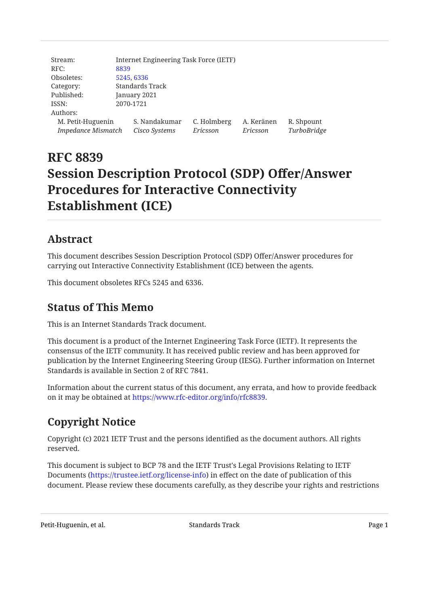| Stream:                   |                 | Internet Engineering Task Force (IETF) |             |            |             |
|---------------------------|-----------------|----------------------------------------|-------------|------------|-------------|
| RFC:                      | 8839            |                                        |             |            |             |
| Obsoletes:                | 5245, 6336      |                                        |             |            |             |
| Category:                 | Standards Track |                                        |             |            |             |
| Published:                | January 2021    |                                        |             |            |             |
| ISSN:                     | 2070-1721       |                                        |             |            |             |
| Authors:                  |                 |                                        |             |            |             |
| M. Petit-Huguenin         |                 | S. Nandakumar                          | C. Holmberg | A. Keränen | R. Shpount  |
| <b>Impedance Mismatch</b> |                 | Cisco Systems                          | Ericsson    | Ericsson   | TurboBridge |

# **RFC 8839 Session Description Protocol (SDP) Offer/Answer Procedures for Interactive Connectivity Establishment (ICE)**

## <span id="page-0-0"></span>**[Abstract](#page-0-0)**

This document describes Session Description Protocol (SDP) Offer/Answer procedures for carrying out Interactive Connectivity Establishment (ICE) between the agents.

<span id="page-0-1"></span>This document obsoletes RFCs 5245 and 6336.

## **[Status of This Memo](#page-0-1)**

This is an Internet Standards Track document.

This document is a product of the Internet Engineering Task Force (IETF). It represents the consensus of the IETF community. It has received public review and has been approved for publication by the Internet Engineering Steering Group (IESG). Further information on Internet Standards is available in Section 2 of RFC 7841.

<span id="page-0-2"></span>Information about the current status of this document, any errata, and how to provide feedback on it may be obtained at <https://www.rfc-editor.org/info/rfc8839>.

## **[Copyright Notice](#page-0-2)**

Copyright (c) 2021 IETF Trust and the persons identified as the document authors. All rights reserved.

This document is subject to BCP 78 and the IETF Trust's Legal Provisions Relating to IETF Documents (<https://trustee.ietf.org/license-info>) in effect on the date of publication of this document. Please review these documents carefully, as they describe your rights and restrictions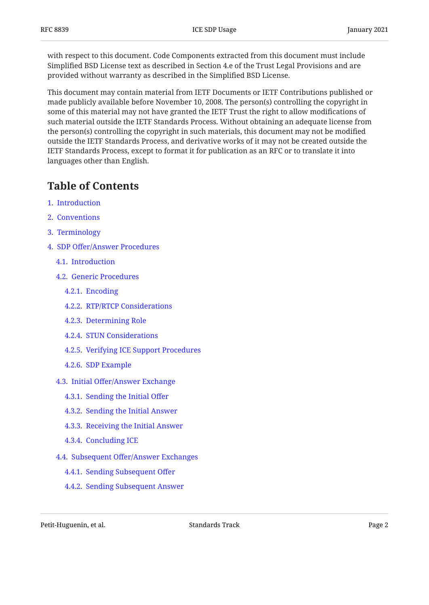with respect to this document. Code Components extracted from this document must include Simplified BSD License text as described in Section 4.e of the Trust Legal Provisions and are provided without warranty as described in the Simplified BSD License.

This document may contain material from IETF Documents or IETF Contributions published or made publicly available before November 10, 2008. The person(s) controlling the copyright in some of this material may not have granted the IETF Trust the right to allow modifications of such material outside the IETF Standards Process. Without obtaining an adequate license from the person(s) controlling the copyright in such materials, this document may not be modified outside the IETF Standards Process, and derivative works of it may not be created outside the IETF Standards Process, except to format it for publication as an RFC or to translate it into languages other than English.

## <span id="page-1-0"></span>**[Table of Contents](#page-1-0)**

- [1.](#page-3-0) [Introduction](#page-3-0)
- [2.](#page-3-1) [Conventions](#page-3-1)
- [3.](#page-4-0) [Terminology](#page-4-0)
- [4.](#page-4-1) SDP Off[er/Answer Procedures](#page-4-1)
	- [4.1.](#page-4-2) [Introduction](#page-4-2)
	- [4.2.](#page-4-3) [Generic Procedures](#page-4-3)
		- [4.2.1.](#page-4-4) [Encoding](#page-4-4)
		- [4.2.2.](#page-5-0) [RTP/RTCP Considerations](#page-5-0)
		- [4.2.3.](#page-6-0) [Determining Role](#page-6-0)
		- [4.2.4.](#page-6-1) [STUN Considerations](#page-6-1)
		- [4.2.5.](#page-6-2) [Verifying ICE Support Procedures](#page-6-2)
		- [4.2.6.](#page-7-0) [SDP Example](#page-7-0)
	- [4.3.](#page-7-1) Initial Off[er/Answer Exchange](#page-7-1)
		- [4.3.1.](#page-7-2) [Sending the Initial O](#page-7-2)ffer
		- [4.3.2.](#page-8-0) [Sending the Initial Answer](#page-8-0)
		- [4.3.3.](#page-8-1) [Receiving the Initial Answer](#page-8-1)
		- [4.3.4.](#page-9-0) [Concluding ICE](#page-9-0)
	- [4.4.](#page-9-1) Subsequent Off[er/Answer Exchanges](#page-9-1)
		- [4.4.1.](#page-10-0) [Sending Subsequent O](#page-10-0)ffer
		- [4.4.2.](#page-11-0) [Sending Subsequent Answer](#page-11-0)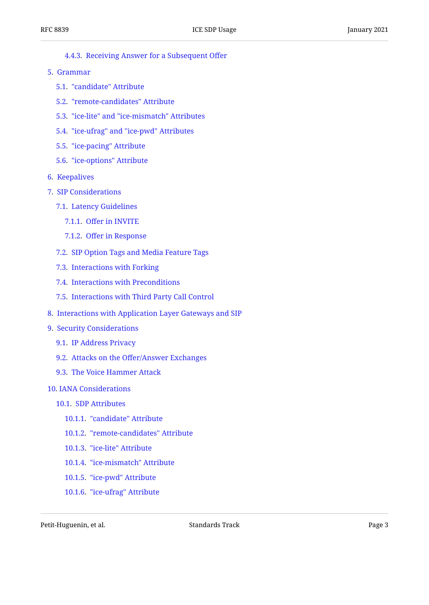- [4.4.3.](#page-13-0) [Receiving Answer for a Subsequent O](#page-13-0)ffer
- [5.](#page-14-0) [Grammar](#page-14-0)
	- [5.1.](#page-15-0) ["candidate" Attribute](#page-15-0)
	- [5.2.](#page-17-0) ["remote-candidates" Attribute](#page-17-0)
	- [5.3.](#page-17-1) ["ice-lite" and "ice-mismatch" Attributes](#page-17-1)
	- [5.4.](#page-17-2) ["ice-ufrag" and "ice-pwd" Attributes](#page-17-2)
	- [5.5.](#page-18-0) ["ice-pacing" Attribute](#page-18-0)
	- [5.6.](#page-19-0) ["ice-options" Attribute](#page-19-0)
- [6.](#page-19-1) [Keepalives](#page-19-1)
- [7.](#page-19-2) [SIP Considerations](#page-19-2)
	- [7.1.](#page-20-0) [Latency Guidelines](#page-20-0)
		- [7.1.1.](#page-20-1) Off[er in INVITE](#page-20-1)
		- [7.1.2.](#page-21-0) Off[er in Response](#page-21-0)
	- [7.2.](#page-21-1) [SIP Option Tags and Media Feature Tags](#page-21-1)
	- [7.3.](#page-21-2) [Interactions with Forking](#page-21-2)
	- [7.4.](#page-21-3) [Interactions with Preconditions](#page-21-3)
	- [7.5.](#page-22-0) [Interactions with Third Party Call Control](#page-22-0)
- [8.](#page-22-1) [Interactions with Application Layer Gateways and SIP](#page-22-1)
- [9.](#page-23-0) [Security Considerations](#page-23-0)
	- [9.1.](#page-23-1) [IP Address Privacy](#page-23-1)
	- [9.2.](#page-23-2) Attacks on the Off[er/Answer Exchanges](#page-23-2)
	- [9.3.](#page-23-3) [The Voice Hammer Attack](#page-23-3)

#### [10](#page-24-0). [IANA Considerations](#page-24-0)

- [10.1](#page-24-1). [SDP Attributes](#page-24-1)
	- [10.1.1](#page-24-2). ["candidate" Attribute](#page-24-2)
	- [10.1.2](#page-24-3). ["remote-candidates" Attribute](#page-24-3)
	- [10.1.3](#page-25-0). ["ice-lite" Attribute](#page-25-0)
	- [10.1.4](#page-25-1). ["ice-mismatch" Attribute](#page-25-1)
	- [10.1.5](#page-26-0). ["ice-pwd" Attribute](#page-26-0)
	- [10.1.6](#page-26-1). ["ice-ufrag" Attribute](#page-26-1)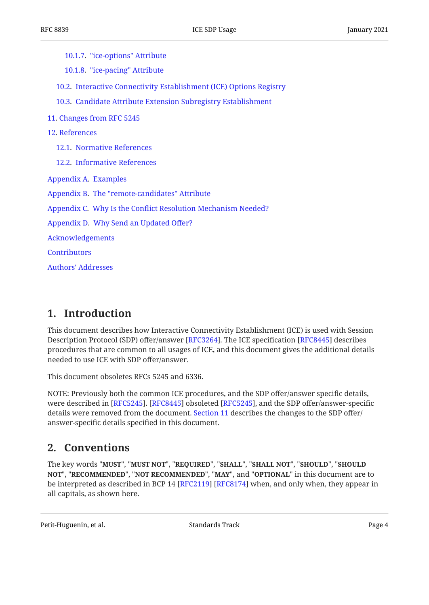[10.1.7](#page-26-2). ["ice-options" Attribute](#page-26-2)

[10.1.8](#page-27-0). ["ice-pacing" Attribute](#page-27-0)

[10.2](#page-27-1). [Interactive Connectivity Establishment \(ICE\) Options Registry](#page-27-1)

[10.3](#page-28-0). [Candidate Attribute Extension Subregistry Establishment](#page-28-0)

- [11](#page-28-1). [Changes from RFC 5245](#page-28-1)
- [12](#page-29-0). [References](#page-29-0)
	- [12.1](#page-29-1). [Normative References](#page-29-1)
	- [12.2](#page-30-0). [Informative References](#page-30-0)
- [Appendix A.](#page-31-0) [Examples](#page-31-0)

[Appendix B](#page-33-0). [The "remote-candidates" Attribute](#page-33-0)

[Appendix C.](#page-34-0) Why Is the Confl[ict Resolution Mechanism Needed?](#page-34-0)

[Appendix D](#page-35-0). [Why Send an Updated O](#page-35-0)ffer?

[Acknowledgements](#page-36-0)

**[Contributors](#page-36-1)** 

[Authors' Addresses](#page-36-2)

## <span id="page-3-0"></span>**[1. Introduction](#page-3-0)**

This document describes how Interactive Connectivity Establishment (ICE) is used with Session Description Protocol (SDP) offer/answer [RFC3264]. The ICE specification [RFC8445] describes procedures that are common to all usages of ICE, and this document gives the additional details needed to use ICE with SDP offer/answer.

This document obsoletes RFCs 5245 and 6336.

NOTE: Previously both the common ICE procedures, and the SDP offer/answer specific details, were described in [RFC5245]. [RFC8445] obsoleted [RFC5245], and the SDP offer/answer-specific details were removed from the document. [Section 11](#page-28-1) describes the changes to the SDP offer/ answer-specific details specified in this document.

## <span id="page-3-1"></span>**[2. Conventions](#page-3-1)**

The key words "MUST", "MUST NOT", "REQUIRED", "SHALL", "SHALL NOT", "SHOULD", "SHOULD <code>NOT",</code> "<code>RECOMMENDED", "NOT RECOMMENDED", "MAY", and "OPTIONAL" in this document are to</code> be interpreted as described in BCP 14 [RFC2119] [RFC8174] when, and only when, they appear in all capitals, as shown here.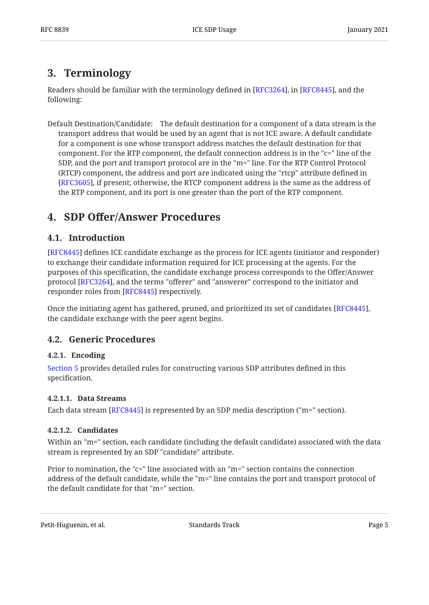## <span id="page-4-0"></span>**[3. Terminology](#page-4-0)**

Readers should be familiar with the terminology defined in [RFC3264], in [RFC8445], and the following:

Default Destination/Candidate: The default destination for a component of a data stream is the transport address that would be used by an agent that is not ICE aware. A default candidate for a component is one whose transport address matches the default destination for that component. For the RTP component, the default connection address is in the "c=" line of the SDP, and the port and transport protocol are in the "m=" line. For the RTP Control Protocol (RTCP) component, the address and port are indicated using the "rtcp" attribute defined in [[RFC3605\]](#page-29-4), if present; otherwise, the RTCP component address is the same as the address of the RTP component, and its port is one greater than the port of the RTP component.

## <span id="page-4-2"></span><span id="page-4-1"></span>**[4.](#page-4-1) SDP Off[er/Answer Procedures](#page-4-1)**

## **[4.1. Introduction](#page-4-2)**

[[RFC8445\]](#page-30-1) defines ICE candidate exchange as the process for ICE agents (initiator and responder) to exchange their candidate information required for ICE processing at the agents. For the purposes of this specification, the candidate exchange process corresponds to the Offer/Answer protocol [[RFC3264\]](#page-29-2), and the terms "offerer" and "answerer" correspond to the initiator and responder roles from [\[RFC8445](#page-30-1)] respectively.

Once the initiating agent has gathered, pruned, and prioritized its set of candidates [RFC8445], the candidate exchange with the peer agent begins.

## <span id="page-4-4"></span><span id="page-4-3"></span>**[4.2. Generic Procedures](#page-4-3)**

## **[4.2.1. Encoding](#page-4-4)**

[Section 5](#page-14-0) provides detailed rules for constructing various SDP attributes defined in this specification.

## <span id="page-4-5"></span>**[4.2.1.1. Data Streams](#page-4-5)**

Each data stream [[RFC8445\]](#page-30-1) is represented by an SDP media description ("m=" section).

## <span id="page-4-6"></span>**[4.2.1.2. Candidates](#page-4-6)**

Within an "m=" section, each candidate (including the default candidate) associated with the data stream is represented by an SDP "candidate" attribute.

Prior to nomination, the "c=" line associated with an "m=" section contains the connection address of the default candidate, while the "m=" line contains the port and transport protocol of the default candidate for that "m=" section.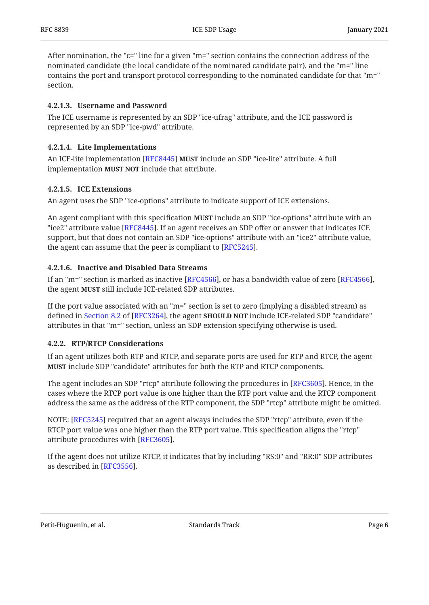After nomination, the "c=" line for a given "m=" section contains the connection address of the nominated candidate (the local candidate of the nominated candidate pair), and the "m=" line contains the port and transport protocol corresponding to the nominated candidate for that "m=" section.

### <span id="page-5-1"></span>**[4.2.1.3. Username and Password](#page-5-1)**

The ICE username is represented by an SDP "ice-ufrag" attribute, and the ICE password is represented by an SDP "ice-pwd" attribute.

### <span id="page-5-2"></span>**[4.2.1.4. Lite Implementations](#page-5-2)**

An ICE-lite implementation [[RFC8445\]](#page-30-1) **MUST** include an SDP "ice-lite" attribute. A full implementation **MUST NOT** include that attribute.

### <span id="page-5-3"></span>**[4.2.1.5. ICE Extensions](#page-5-3)**

An agent uses the SDP "ice-options" attribute to indicate support of ICE extensions.

An agent compliant with this specification **MUST** include an SDP "ice-options" attribute with an "ice2" attribute value [RFC8445]. If an agent receives an SDP offer or answer that indicates ICE  $\,$ support, but that does not contain an SDP "ice-options" attribute with an "ice2" attribute value, the agent can assume that the peer is compliant to [[RFC5245\]](#page-30-2).  $\,$ 

### <span id="page-5-4"></span>**[4.2.1.6. Inactive and Disabled Data Streams](#page-5-4)**

If an "m=" section is marked as inactive [[RFC4566\]](#page-29-5), or has a bandwidth value of zero [RFC4566], the agent MUST still include ICE-related SDP attributes.

If the port value associated with an "m=" section is set to zero (implying a disabled stream) as defined in Section 8.2 of [RFC3264], the agent **SHOULD NOT** include ICE-related SDP "candidate" attributes in that "m=" section, unless an SDP extension specifying otherwise is used.

### <span id="page-5-0"></span>**[4.2.2. RTP/RTCP Considerations](#page-5-0)**

If an agent utilizes both RTP and RTCP, and separate ports are used for RTP and RTCP, the agent **MUST** include SDP "candidate" attributes for both the RTP and RTCP components.

The agent includes an SDP "rtcp" attribute following the procedures in [RFC3605]. Hence, in the cases where the RTCP port value is one higher than the RTP port value and the RTCP component address the same as the address of the RTP component, the SDP "rtcp" attribute might be omitted.

NOTE: [\[RFC5245](#page-30-2)] required that an agent always includes the SDP "rtcp" attribute, even if the RTCP port value was one higher than the RTP port value. This specification aligns the "rtcp" attribute procedures with [RFC3605].

If the agent does not utilize RTCP, it indicates that by including "RS:0" and "RR:0" SDP attributes as described in [RFC3556].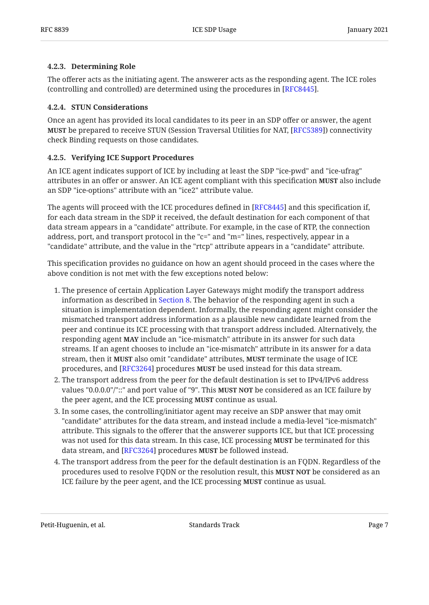#### <span id="page-6-0"></span>**[4.2.3. Determining Role](#page-6-0)**

The offerer acts as the initiating agent. The answerer acts as the responding agent. The ICE roles (controlling and controlled) are determined using the procedures in [RFC8445].

#### <span id="page-6-1"></span>**[4.2.4. STUN Considerations](#page-6-1)**

Once an agent has provided its local candidates to its peer in an SDP offer or answer, the agent **MUST** be prepared to receive STUN (Session Traversal Utilities for NAT, [RFC5389]) connectivity check Binding requests on those candidates.

### <span id="page-6-2"></span>**[4.2.5. Verifying ICE Support Procedures](#page-6-2)**

An ICE agent indicates support of ICE by including at least the SDP "ice-pwd" and "ice-ufrag" attributes in an offer or answer. An ICE agent compliant with this specification **MUST** also include an SDP "ice-options" attribute with an "ice2" attribute value.

The agents will proceed with the ICE procedures defined in [RFC8445] and this specification if,  $\,$ for each data stream in the SDP it received, the default destination for each component of that data stream appears in a "candidate" attribute. For example, in the case of RTP, the connection address, port, and transport protocol in the "c=" and "m=" lines, respectively, appear in a "candidate" attribute, and the value in the "rtcp" attribute appears in a "candidate" attribute.

This specification provides no guidance on how an agent should proceed in the cases where the above condition is not met with the few exceptions noted below:

- 1. The presence of certain Application Layer Gateways might modify the transport address information as described in [Section 8](#page-22-1). The behavior of the responding agent in such a situation is implementation dependent. Informally, the responding agent might consider the mismatched transport address information as a plausible new candidate learned from the peer and continue its ICE processing with that transport address included. Alternatively, the responding agent **MAY** include an "ice-mismatch" attribute in its answer for such data streams. If an agent chooses to include an "ice-mismatch" attribute in its answer for a data stream, then it **MUST** also omit "candidate" attributes, **MUST** terminate the usage of ICE procedures, and [RFC3264] procedures **MUST** be used instead for this data stream.
- 2. The transport address from the peer for the default destination is set to IPv4/IPv6 address values "0.0.0.0"/"::" and port value of "9". This **MUST NOT** be considered as an ICE failure by the peer agent, and the ICE processing **MUST** continue as usual.
- In some cases, the controlling/initiator agent may receive an SDP answer that may omit 3. "candidate" attributes for the data stream, and instead include a media-level "ice-mismatch" attribute. This signals to the offerer that the answerer supports ICE, but that ICE processing was not used for this data stream. In this case, ICE processing **MUST** be terminated for this data stream, and [RFC3264] procedures MUST be followed instead.
- 4. The transport address from the peer for the default destination is an FQDN. Regardless of the procedures used to resolve FQDN or the resolution result, this **MUST NOT** be considered as an ICE failure by the peer agent, and the ICE processing **MUST** continue as usual.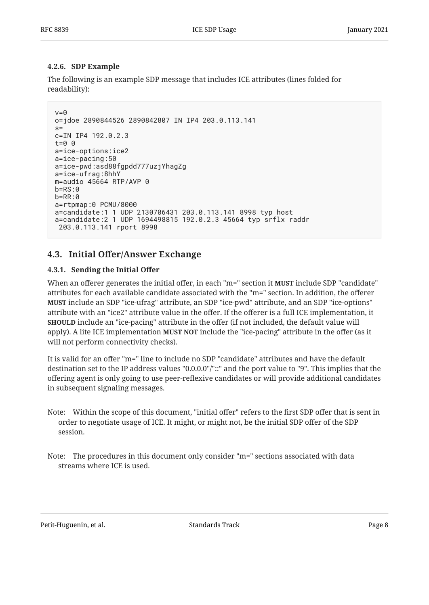#### <span id="page-7-0"></span>**[4.2.6. SDP Example](#page-7-0)**

The following is an example SDP message that includes ICE attributes (lines folded for readability):

```
v=0o=jdoe 2890844526 2890842807 IN IP4 203.0.113.141
s=c=IN IP4 192.0.2.3
t=0 0
a=ice-options:ice2
a=ice-pacing:50
a=ice-pwd:asd88fgpdd777uzjYhagZg
a=ice-ufrag:8hhY
m=audio 45664 RTP/AVP 0
b=RS:0
b=RR:0
a=rtpmap:0 PCMU/8000
a=candidate:1 1 UDP 2130706431 203.0.113.141 8998 typ host
a=candidate:2 1 UDP 1694498815 192.0.2.3 45664 typ srflx raddr
  203.0.113.141 rport 8998
```
## <span id="page-7-2"></span><span id="page-7-1"></span>**[4.3. I](#page-7-1)nitial Off[er/Answer Exchange](#page-7-1)**

#### **[4.3.1. Sending the Initial O](#page-7-2)ffer**

When an offerer generates the initial offer, in each "m=" section it **MUST** include SDP "candidate" attributes for each available candidate associated with the "m=" section. In addition, the offerer include an SDP "ice-ufrag" attribute, an SDP "ice-pwd" attribute, and an SDP "ice-options" **MUST** attribute with an "ice2" attribute value in the offer. If the offerer is a full ICE implementation, it **SHOULD** include an "ice-pacing" attribute in the offer (if not included, the default value will apply). A lite ICE implementation **MUST NOT** include the "ice-pacing" attribute in the offer (as it will not perform connectivity checks).

It is valid for an offer "m=" line to include no SDP "candidate" attributes and have the default destination set to the IP address values "0.0.0.0"/"::" and the port value to "9". This implies that the offering agent is only going to use peer-reflexive candidates or will provide additional candidates in subsequent signaling messages.

- Note: Within the scope of this document, "initial offer" refers to the first SDP offer that is sent in order to negotiate usage of ICE. It might, or might not, be the initial SDP offer of the SDP session.
- Note: The procedures in this document only consider "m=" sections associated with data streams where ICE is used.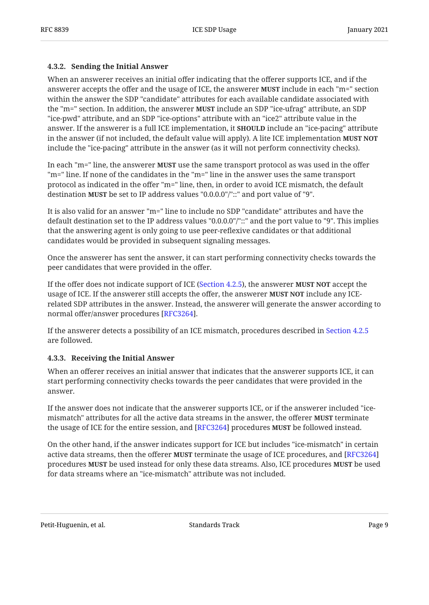#### <span id="page-8-0"></span>**[4.3.2. Sending the Initial Answer](#page-8-0)**

When an answerer receives an initial offer indicating that the offerer supports ICE, and if the answerer accepts the offer and the usage of ICE, the answerer **MUST** include in each "m=" section within the answer the SDP "candidate" attributes for each available candidate associated with the "m=" section. In addition, the answerer **MUST** include an SDP "ice-ufrag" attribute, an SDP "ice-pwd" attribute, and an SDP "ice-options" attribute with an "ice2" attribute value in the answer. If the answerer is a full ICE implementation, it **SHOULD** include an "ice-pacing" attribute in the answer (if not included, the default value will apply). A lite ICE implementation **MUST NOT** include the "ice-pacing" attribute in the answer (as it will not perform connectivity checks).

In each "m=" line, the answerer **MUST** use the same transport protocol as was used in the offer "m=" line. If none of the candidates in the "m=" line in the answer uses the same transport protocol as indicated in the offer "m=" line, then, in order to avoid ICE mismatch, the default destination **MUST** be set to IP address values "0.0.0.0"/"::" and port value of "9".

It is also valid for an answer "m=" line to include no SDP "candidate" attributes and have the default destination set to the IP address values "0.0.0.0"/"::" and the port value to "9". This implies that the answering agent is only going to use peer-reflexive candidates or that additional candidates would be provided in subsequent signaling messages.

Once the answerer has sent the answer, it can start performing connectivity checks towards the peer candidates that were provided in the offer.

If the offer does not indicate support of ICE ([Section 4.2.5\)](#page-6-2), the answerer **MUST NOT** accept the usage of ICE. If the answerer still accepts the offer, the answerer **MUST NOT** include any ICErelated SDP attributes in the answer. Instead, the answerer will generate the answer according to normal offer/answer procedures [RFC3264].

If the answerer detects a possibility of an ICE mismatch, procedures described in [Section 4.2.5](#page-6-2) are followed.

### <span id="page-8-1"></span>**[4.3.3. Receiving the Initial Answer](#page-8-1)**

When an offerer receives an initial answer that indicates that the answerer supports ICE, it can start performing connectivity checks towards the peer candidates that were provided in the answer.

If the answer does not indicate that the answerer supports ICE, or if the answerer included "icemismatch" attributes for all the active data streams in the answer, the offerer **MUST** terminate the usage of ICE for the entire session, and [RFC3264] procedures **MUST** be followed instead.

On the other hand, if the answer indicates support for ICE but includes "ice-mismatch" in certain active data streams, then the offerer **MUST** terminate the usage of ICE procedures, and [\[RFC3264](#page-29-2)] procedures **MUST** be used instead for only these data streams. Also, ICE procedures **MUST** be used for data streams where an "ice-mismatch" attribute was not included.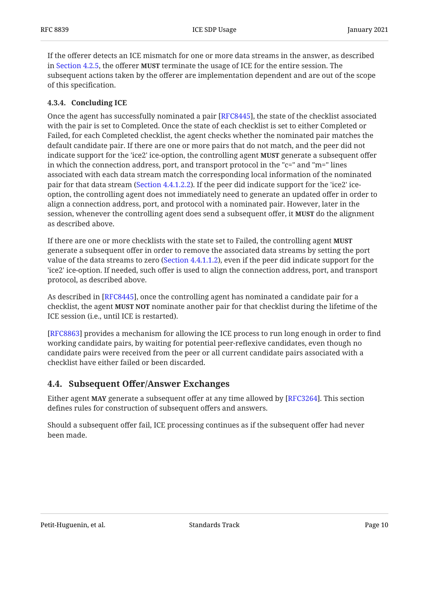If the offerer detects an ICE mismatch for one or more data streams in the answer, as described in [Section 4.2.5](#page-6-2), the offerer MUST terminate the usage of ICE for the entire session. The subsequent actions taken by the offerer are implementation dependent and are out of the scope of this specification.

### <span id="page-9-0"></span>**[4.3.4. Concluding ICE](#page-9-0)**

Once the agent has successfully nominated a pair [RFC8445], the state of the checklist associated with the pair is set to Completed. Once the state of each checklist is set to either Completed or Failed, for each Completed checklist, the agent checks whether the nominated pair matches the default candidate pair. If there are one or more pairs that do not match, and the peer did not indicate support for the 'ice2' ice-option, the controlling agent **MUST** generate a subsequent offer in which the connection address, port, and transport protocol in the "c=" and "m=" lines associated with each data stream match the corresponding local information of the nominated pair for that data stream [\(Section 4.4.1.2.2](#page-11-1)). If the peer did indicate support for the 'ice2' iceoption, the controlling agent does not immediately need to generate an updated offer in order to align a connection address, port, and protocol with a nominated pair. However, later in the session, whenever the controlling agent does send a subsequent offer, it **MUST** do the alignment as described above.

If there are one or more checklists with the state set to Failed, the controlling agent **MUST** generate a subsequent offer in order to remove the associated data streams by setting the port value of the data streams to zero [\(Section 4.4.1.1.2](#page-10-1)), even if the peer did indicate support for the 'ice2' ice-option. If needed, such offer is used to align the connection address, port, and transport protocol, as described above.

As described in [RFC8445], once the controlling agent has nominated a candidate pair for a checklist, the agent **MUST NOT** nominate another pair for that checklist during the lifetime of the ICE session (i.e., until ICE is restarted).

[[RFC8863\]](#page-31-1) provides a mechanism for allowing the ICE process to run long enough in order to find working candidate pairs, by waiting for potential peer-reflexive candidates, even though no candidate pairs were received from the peer or all current candidate pairs associated with a checklist have either failed or been discarded.

## <span id="page-9-1"></span>**[4.4. S](#page-9-1)ubsequent Off[er/Answer Exchanges](#page-9-1)**

Either agent **MAY** generate a subsequent offer at any time allowed by [RFC3264]. This section defines rules for construction of subsequent offers and answers.

Should a subsequent offer fail, ICE processing continues as if the subsequent offer had never been made.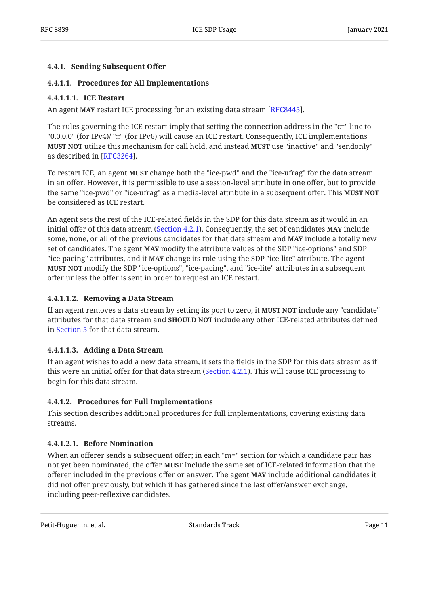### <span id="page-10-0"></span>**[4.4.1. Sending Subsequent O](#page-10-0)ffer**

### <span id="page-10-2"></span>**[4.4.1.1. Procedures for All Implementations](#page-10-2)**

#### <span id="page-10-3"></span>**[4.4.1.1.1. ICE Restart](#page-10-3)**

An agent MAY restart ICE processing for an existing data stream [RFC8445].

The rules governing the ICE restart imply that setting the connection address in the "c=" line to "0.0.0.0" (for IPv4)/ "::" (for IPv6) will cause an ICE restart. Consequently, ICE implementations **MUST NOT** utilize this mechanism for call hold, and instead **MUST** use "inactive" and "sendonly" as described in [RFC3264].

To restart ICE, an agent **MUST** change both the "ice-pwd" and the "ice-ufrag" for the data stream in an offer. However, it is permissible to use a session-level attribute in one offer, but to provide the same "ice-pwd" or "ice-ufrag" as a media-level attribute in a subsequent offer. This **MUST NOT** be considered as ICE restart.

An agent sets the rest of the ICE-related fields in the SDP for this data stream as it would in an initial offer of this data stream [\(Section 4.2.1](#page-4-4)). Consequently, the set of candidates **MAY** include some, none, or all of the previous candidates for that data stream and **MAY** include a totally new set of candidates. The agent **MAY** modify the attribute values of the SDP "ice-options" and SDP "ice-pacing" attributes, and it **MAY** change its role using the SDP "ice-lite" attribute. The agent **MUST NOT** modify the SDP "ice-options", "ice-pacing", and "ice-lite" attributes in a subsequent offer unless the offer is sent in order to request an ICE restart.

### <span id="page-10-1"></span>**[4.4.1.1.2. Removing a Data Stream](#page-10-1)**

If an agent removes a data stream by setting its port to zero, it **MUST NOT** include any "candidate" attributes for that data stream and **SHOULD NOT** include any other ICE-related attributes defined in [Section 5](#page-14-0) for that data stream.

#### <span id="page-10-4"></span>**[4.4.1.1.3. Adding a Data Stream](#page-10-4)**

If an agent wishes to add a new data stream, it sets the fields in the SDP for this data stream as if this were an initial offer for that data stream ([Section 4.2.1\)](#page-4-4). This will cause ICE processing to begin for this data stream.

#### <span id="page-10-5"></span>**[4.4.1.2. Procedures for Full Implementations](#page-10-5)**

This section describes additional procedures for full implementations, covering existing data streams.

#### <span id="page-10-6"></span>**[4.4.1.2.1. Before Nomination](#page-10-6)**

When an offerer sends a subsequent offer; in each "m=" section for which a candidate pair has not yet been nominated, the offer **MUST** include the same set of ICE-related information that the offerer included in the previous offer or answer. The agent **MAY** include additional candidates it did not offer previously, but which it has gathered since the last offer/answer exchange, including peer-reflexive candidates.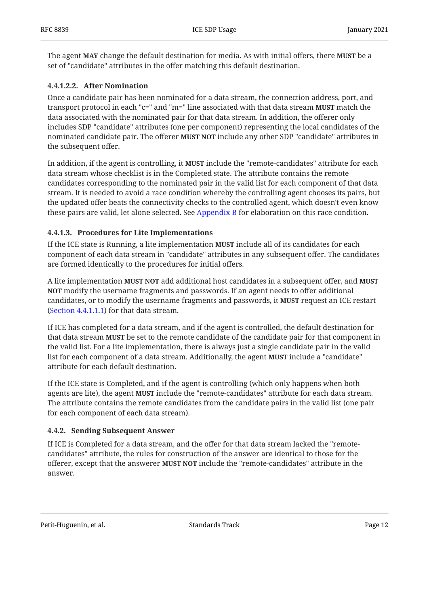The agent **MAY** change the default destination for media. As with initial offers, there **MUST** be a set of "candidate" attributes in the offer matching this default destination.

### <span id="page-11-1"></span>**[4.4.1.2.2. After Nomination](#page-11-1)**

Once a candidate pair has been nominated for a data stream, the connection address, port, and transport protocol in each "c=" and "m=" line associated with that data stream **MUST** match the data associated with the nominated pair for that data stream. In addition, the offerer only includes SDP "candidate" attributes (one per component) representing the local candidates of the nominated candidate pair. The offerer **MUST NOT** include any other SDP "candidate" attributes in the subsequent offer.

In addition, if the agent is controlling, it **MUST** include the "remote-candidates" attribute for each data stream whose checklist is in the Completed state. The attribute contains the remote candidates corresponding to the nominated pair in the valid list for each component of that data stream. It is needed to avoid a race condition whereby the controlling agent chooses its pairs, but the updated offer beats the connectivity checks to the controlled agent, which doesn't even know these pairs are valid, let alone selected. See [Appendix B](#page-33-0) for elaboration on this race condition.

#### <span id="page-11-2"></span>**[4.4.1.3. Procedures for Lite Implementations](#page-11-2)**

If the ICE state is Running, a lite implementation **MUST** include all of its candidates for each component of each data stream in "candidate" attributes in any subsequent offer. The candidates are formed identically to the procedures for initial offers.

A lite implementation **MUST NOT** add additional host candidates in a subsequent offer, and **MUST**  modify the username fragments and passwords. If an agent needs to offer additional **NOT** candidates, or to modify the username fragments and passwords, it **MUST** request an ICE restart [\(Section 4.4.1.1.1](#page-10-3)) for that data stream.

If ICE has completed for a data stream, and if the agent is controlled, the default destination for that data stream **MUST** be set to the remote candidate of the candidate pair for that component in the valid list. For a lite implementation, there is always just a single candidate pair in the valid list for each component of a data stream. Additionally, the agent **MUST** include a "candidate" attribute for each default destination.

If the ICE state is Completed, and if the agent is controlling (which only happens when both agents are lite), the agent MUST include the "remote-candidates" attribute for each data stream. The attribute contains the remote candidates from the candidate pairs in the valid list (one pair for each component of each data stream).

#### <span id="page-11-0"></span>**[4.4.2. Sending Subsequent Answer](#page-11-0)**

If ICE is Completed for a data stream, and the offer for that data stream lacked the "remotecandidates" attribute, the rules for construction of the answer are identical to those for the offerer, except that the answerer **MUST NOT** include the "remote-candidates" attribute in the answer.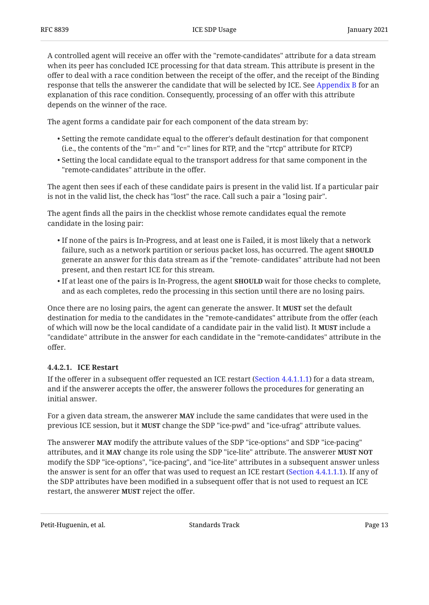A controlled agent will receive an offer with the "remote-candidates" attribute for a data stream when its peer has concluded ICE processing for that data stream. This attribute is present in the offer to deal with a race condition between the receipt of the offer, and the receipt of the Binding response that tells the answerer the candidate that will be selected by ICE. See [Appendix B](#page-33-0) for an explanation of this race condition. Consequently, processing of an offer with this attribute depends on the winner of the race.

The agent forms a candidate pair for each component of the data stream by:

- $\bullet$  Setting the remote candidate equal to the offerer's default destination for that component (i.e., the contents of the "m=" and "c=" lines for RTP, and the "rtcp" attribute for RTCP)
- $\bullet$  Setting the local candidate equal to the transport address for that same component in the "remote-candidates" attribute in the offer.

The agent then sees if each of these candidate pairs is present in the valid list. If a particular pair is not in the valid list, the check has "lost" the race. Call such a pair a "losing pair".

The agent finds all the pairs in the checklist whose remote candidates equal the remote candidate in the losing pair:

- $\bullet$  If none of the pairs is In-Progress, and at least one is Failed, it is most likely that a network failure, such as a network partition or serious packet loss, has occurred. The agent **SHOULD** generate an answer for this data stream as if the "remote- candidates" attribute had not been present, and then restart ICE for this stream.
- $\bullet$  If at least one of the pairs is In-Progress, the agent  $\textbf{SHOULD}$  wait for those checks to complete, and as each completes, redo the processing in this section until there are no losing pairs.

Once there are no losing pairs, the agent can generate the answer. It **MUST** set the default destination for media to the candidates in the "remote-candidates" attribute from the offer (each of which will now be the local candidate of a candidate pair in the valid list). It **MUST** include a "candidate" attribute in the answer for each candidate in the "remote-candidates" attribute in the offer.

### <span id="page-12-0"></span>**[4.4.2.1. ICE Restart](#page-12-0)**

If the offerer in a subsequent offer requested an ICE restart ([Section 4.4.1.1.1](#page-10-3)) for a data stream, and if the answerer accepts the offer, the answerer follows the procedures for generating an initial answer.

For a given data stream, the answerer **MAY** include the same candidates that were used in the previous ICE session, but it **MUST** change the SDP "ice-pwd" and "ice-ufrag" attribute values.

The answerer **MAY** modify the attribute values of the SDP "ice-options" and SDP "ice-pacing" attributes, and it MAY change its role using the SDP "ice-lite" attribute. The answerer MUST NOT modify the SDP "ice-options", "ice-pacing", and "ice-lite" attributes in a subsequent answer unless the answer is sent for an offer that was used to request an ICE restart ([Section 4.4.1.1.1](#page-10-3)). If any of the SDP attributes have been modified in a subsequent offer that is not used to request an ICE restart, the answerer **MUST** reject the offer.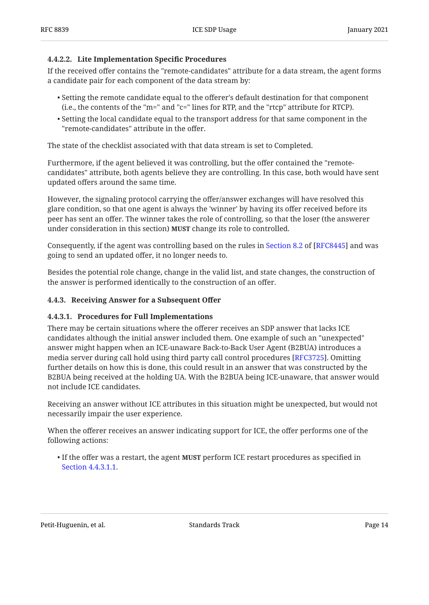#### <span id="page-13-1"></span>**[4.4.2.2. Lite Implementation Speci](#page-13-1)fic Procedures**

If the received offer contains the "remote-candidates" attribute for a data stream, the agent forms a candidate pair for each component of the data stream by:

- $\bullet$  Setting the remote candidate equal to the offerer's default destination for that component (i.e., the contents of the "m=" and "c=" lines for RTP, and the "rtcp" attribute for RTCP).
- $\bullet$  Setting the local candidate equal to the transport address for that same component in the "remote-candidates" attribute in the offer.

The state of the checklist associated with that data stream is set to Completed.

Furthermore, if the agent believed it was controlling, but the offer contained the "remotecandidates" attribute, both agents believe they are controlling. In this case, both would have sent updated offers around the same time.

However, the signaling protocol carrying the offer/answer exchanges will have resolved this glare condition, so that one agent is always the 'winner' by having its offer received before its peer has sent an offer. The winner takes the role of controlling, so that the loser (the answerer under consideration in this section) **MUST** change its role to controlled.

Consequently,if the agent was controlling based on the rules in Section 8.2 of [RFC8445] and was going to send an updated offer, it no longer needs to.

Besides the potential role change, change in the valid list, and state changes, the construction of the answer is performed identically to the construction of an offer.

#### <span id="page-13-0"></span>**[4.4.3. Receiving Answer for a Subsequent O](#page-13-0)ffer**

#### <span id="page-13-2"></span>**[4.4.3.1. Procedures for Full Implementations](#page-13-2)**

There may be certain situations where the offerer receives an SDP answer that lacks ICE candidates although the initial answer included them. One example of such an "unexpected" answer might happen when an ICE-unaware Back-to-Back User Agent (B2BUA) introduces a media server during call hold using third party call control procedures [RFC3725]. Omitting further details on how this is done, this could result in an answer that was constructed by the B2BUA being received at the holding UA. With the B2BUA being ICE-unaware, that answer would not include ICE candidates.

Receiving an answer without ICE attributes in this situation might be unexpected, but would not necessarily impair the user experience.

When the offerer receives an answer indicating support for ICE, the offer performs one of the following actions:

• If the offer was a restart, the agent MUST perform ICE restart procedures as specified in [Section 4.4.3.1.1](#page-14-1).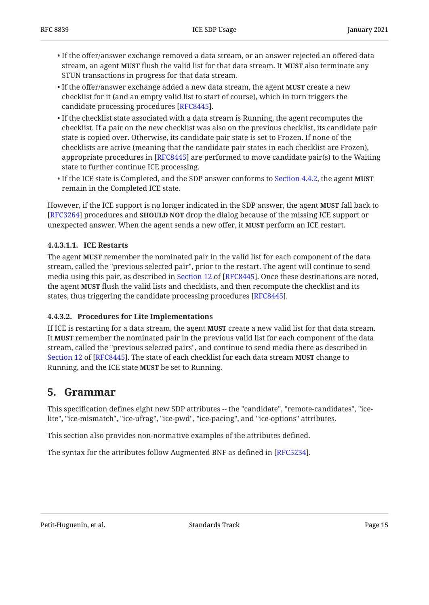- $\bullet$  If the offer/answer exchange removed a data stream, or an answer rejected an offered data stream, an agent **MUST** flush the valid list for that data stream. It **MUST** also terminate any STUN transactions in progress for that data stream.
- $\bullet$  If the offer/answer exchange added a new data stream, the agent **MUST** create a new checklist for it (and an empty valid list to start of course), which in turn triggers the candidate processing procedures [RFC8445].
- $\bullet$  If the checklist state associated with a data stream is Running, the agent recomputes the checklist. If a pair on the new checklist was also on the previous checklist, its candidate pair state is copied over. Otherwise, its candidate pair state is set to Frozen. If none of the checklists are active (meaning that the candidate pair states in each checklist are Frozen), appropriate procedures in [RFC8445] are performed to move candidate pair(s) to the Waiting state to further continue ICE processing.
- If the ICE state is Completed, and the SDP answer conforms to [Section 4.4.2](#page-11-0), the agent **MUST** remain in the Completed ICE state.

However, if the ICE support is no longer indicated in the SDP answer, the agent **MUST** fall back to [[RFC3264\]](#page-29-2) procedures and **SHOULD NOT** drop the dialog because of the missing ICE support or unexpected answer. When the agent sends a new offer, it **MUST** perform an ICE restart.

### <span id="page-14-1"></span>**[4.4.3.1.1. ICE Restarts](#page-14-1)**

The agent **MUST** remember the nominated pair in the valid list for each component of the data stream, called the "previous selected pair", prior to the restart. The agent will continue to send media using this pair, as described in Section 12 of [RFC8445]. Once these destinations are noted, the agent **MUST** flush the valid lists and checklists, and then recompute the checklist and its states, thus triggering the candidate processing procedures [RFC8445].

### <span id="page-14-2"></span>**[4.4.3.2. Procedures for Lite Implementations](#page-14-2)**

If ICE is restarting for a data stream, the agent **MUST** create a new valid list for that data stream. It **MUST** remember the nominated pair in the previous valid list for each component of the data stream, called the "previous selected pairs", and continue to send media there as described in [Section 12](https://www.rfc-editor.org/rfc/rfc8445#section-12) of [[RFC8445\]](#page-30-1). The state of each checklist for each data stream **MUST** change to Running, and the ICE state **MUST** be set to Running.

## <span id="page-14-0"></span>**[5. Grammar](#page-14-0)**

This specification defines eight new SDP attributes -- the "candidate", "remote-candidates", "icelite", "ice-mismatch", "ice-ufrag", "ice-pwd", "ice-pacing", and "ice-options" attributes.

This section also provides non-normative examples of the attributes defined.

The syntax for the attributes follow Augmented BNF as defined in [\[RFC5234](#page-29-8)].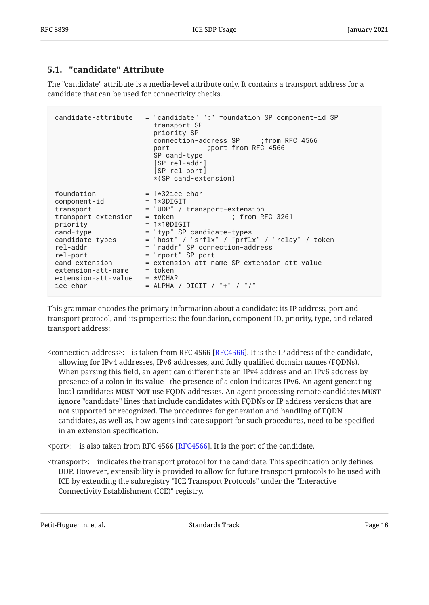## <span id="page-15-0"></span>**[5.1. "candidate" Attribute](#page-15-0)**

The "candidate" attribute is a media-level attribute only. It contains a transport address for a candidate that can be used for connectivity checks.

```
candidate-attribute = "candidate" ":" foundation SP component-id SP
                      transport SP
                      priority SP
                      connection-address SP ;from RFC 4566
                      port ;port from RFC 4566
                      SP cand-type
                      [SP rel-addr]
                      [SP rel-port]
                      *(SP cand-extension)
foundation = 1*32ice-char
component-id = 1*3DIGIT
transport = "UDP" / transport-extension<br>transport-extension = token ; from RFC 3261
transport-extension = token ; from RFC 3261
priority = 1*10DIGIT
cand-type = "typ" SP candidate-types
candidate-types = "host" / "srflx" / "prflx" / "relay" / token
rel-addr = "raddr" SP connection-address
rel-port = "rport" SP port
cand-extension = extension-att-name SP extension-att-value
extension-att-name = token
extension-att-value = *VCHAR
ice-char = ALPHA / DIGIT / "+" / "/"
```
This grammar encodes the primary information about a candidate: its IP address, port and transport protocol, and its properties: the foundation, component ID, priority, type, and related transport address:

 $\le$ connection-address $\ge$ : is taken from RFC 4566 [RFC4566]. It is the IP address of the candidate, allowing for IPv4 addresses, IPv6 addresses, and fully qualified domain names (FQDNs). When parsing this field, an agent can differentiate an IPv4 address and an IPv6 address by presence of a colon in its value - the presence of a colon indicates IPv6. An agent generating  $\boldsymbol{h}$  local candidates  $\boldsymbol{M}$ UST  $\boldsymbol{N}$ OT use FQDN addresses. An agent processing remote candidates  $\boldsymbol{M}$ UST ignore "candidate" lines that include candidates with FQDNs or IP address versions that are not supported or recognized. The procedures for generation and handling of FQDN candidates, as well as, how agents indicate support for such procedures, need to be specified in an extension specification.

 $\epsilon$  port>: is also taken from RFC 4566 [RFC4566]. It is the port of the candidate.

<transport>: indicates the transport protocol for the candidate. This specification only defines UDP. However, extensibility is provided to allow for future transport protocols to be used with ICE by extending the subregistry "ICE Transport Protocols" under the "Interactive Connectivity Establishment (ICE)" registry.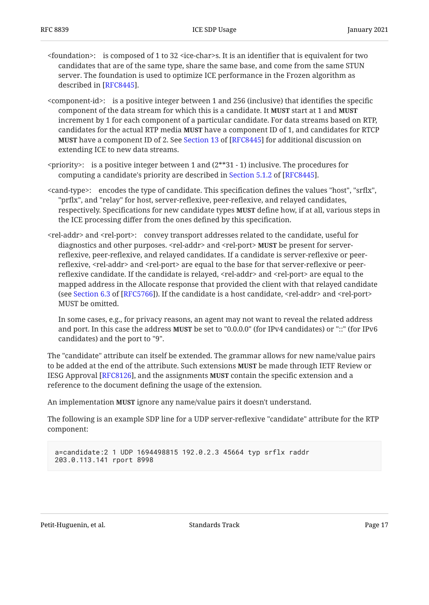- <foundation>: is composed of 1 to 32 <ice-char>s. It is an identifier that is equivalent for two candidates that are of the same type, share the same base, and come from the same STUN server. The foundation is used to optimize ICE performance in the Frozen algorithm as described in [[RFC8445\]](#page-30-1).
- <component-id>: is a positive integer between 1 and 256 (inclusive) that identifies the specific component of the data stream for which this is a candidate. It **MUST** start at 1 and **MUST** increment by 1 for each component of a particular candidate. For data streams based on RTP, candidates for the actual RTP media **MUST** have a component ID of 1, and candidates for RTCP **MUST**have a component ID of 2. See Section 13 of [RFC8445] for additional discussion on extending ICE to new data streams.
- $\epsilon$  priority>: is a positive integer between 1 and (2\*\*31 1) inclusive. The procedures for computinga candidate's priority are described in Section 5.1.2 of [RFC8445].
- <cand-type>: encodes the type of candidate. This specification defines the values "host", "srflx", "prflx", and "relay" for host, server-reflexive, peer-reflexive, and relayed candidates, respectively. Specifications for new candidate types **MUST** define how, if at all, various steps in the ICE processing differ from the ones defined by this specification.
- <rel-addr> and <rel-port>: convey transport addresses related to the candidate, useful for diagnostics and other purposes. <rel-addr> and <rel-port> be present for server-**MUST** reflexive, peer-reflexive, and relayed candidates. If a candidate is server-reflexive or peerreflexive, <rel-addr> and <rel-port> are equal to the base for that server-reflexive or peerreflexive candidate. If the candidate is relayed, <rel-addr> and <rel-port> are equal to the mapped address in the Allocate response that provided the client with that relayed candidate (seeSection 6.3 of [RFC5766]). If the candidate is a host candidate,  $\le$ rel-addr> and  $\le$ rel-port> MUST be omitted.

In some cases, e.g., for privacy reasons, an agent may not want to reveal the related address and port. In this case the address **MUST** be set to "0.0.0.0" (for IPv4 candidates) or "::" (for IPv6 candidates) and the port to "9".

The "candidate" attribute can itself be extended. The grammar allows for new name/value pairs to be added at the end of the attribute. Such extensions **MUST** be made through IETF Review or IESG Approval [RFC8126], and the assignments **MUST** contain the specific extension and a reference to the document defining the usage of the extension.

An implementation **MUST** ignore any name/value pairs it doesn't understand.

The following is an example SDP line for a UDP server-reflexive "candidate" attribute for the RTP component:

```
a=candidate:2 1 UDP 1694498815 192.0.2.3 45664 typ srflx raddr
203.0.113.141 rport 8998
```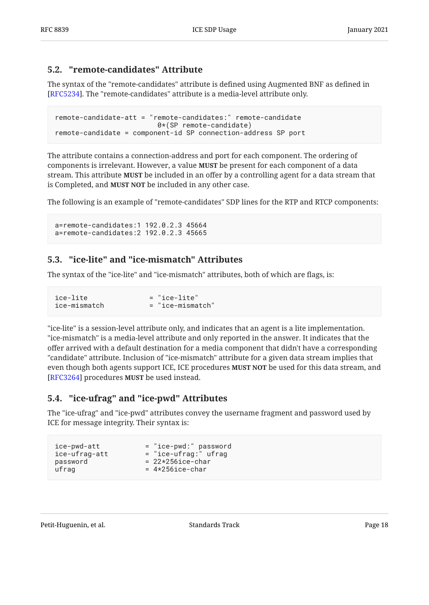## <span id="page-17-0"></span>**[5.2. "remote-candidates" Attribute](#page-17-0)**

The syntax of the "remote-candidates" attribute is defined using Augmented BNF as defined in [[RFC5234\]](#page-29-8). The "remote-candidates" attribute is a media-level attribute only.

```
remote-candidate-att = "remote-candidates:" remote-candidate
                          0*(SP remote-candidate)
remote-candidate = component-id SP connection-address SP port
```
The attribute contains a connection-address and port for each component. The ordering of components is irrelevant. However, a value **MUST** be present for each component of a data stream. This attribute **MUST** be included in an offer by a controlling agent for a data stream that is Completed, and **MUST NOT** be included in any other case.

The following is an example of "remote-candidates" SDP lines for the RTP and RTCP components:

a=remote-candidates:1 192.0.2.3 45664 a=remote-candidates:2 192.0.2.3 45665

## <span id="page-17-1"></span>**[5.3. "ice-lite" and "ice-mismatch" Attributes](#page-17-1)**

The syntax of the "ice-lite" and "ice-mismatch" attributes, both of which are flags, is:

| ice-lite     | $=$ "ice-lite"   |
|--------------|------------------|
| ice-mismatch | = "ice-mismatch" |

"ice-lite" is a session-level attribute only, and indicates that an agent is a lite implementation. "ice-mismatch" is a media-level attribute and only reported in the answer. It indicates that the offer arrived with a default destination for a media component that didn't have a corresponding "candidate" attribute. Inclusion of "ice-mismatch" attribute for a given data stream implies that even though both agents support ICE, ICE procedures **MUST NOT** be used for this data stream, and [[RFC3264\]](#page-29-2) procedures MUST be used instead.

## <span id="page-17-2"></span>**[5.4. "ice-ufrag" and "ice-pwd" Attributes](#page-17-2)**

The "ice-ufrag" and "ice-pwd" attributes convey the username fragment and password used by ICE for message integrity. Their syntax is:

| ice-pwd-att   | = "ice-pwd:" password  |
|---------------|------------------------|
| ice-ufrag-att | $=$ "ice-ufrag:" ufrag |
| password      | $= 22*256ice-char$     |
| ufrag         | $= 4*256$ ice-char     |
|               |                        |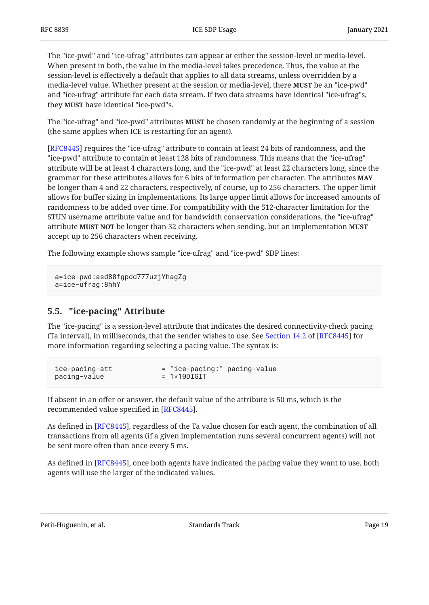The "ice-pwd" and "ice-ufrag" attributes can appear at either the session-level or media-level. When present in both, the value in the media-level takes precedence. Thus, the value at the session-level is effectively a default that applies to all data streams, unless overridden by a media-level value. Whether present at the session or media-level, there **MUST** be an "ice-pwd" and "ice-ufrag" attribute for each data stream. If two data streams have identical "ice-ufrag"s, they **MUST** have identical "ice-pwd"s.

The "ice-ufrag" and "ice-pwd" attributes **MUST** be chosen randomly at the beginning of a session (the same applies when ICE is restarting for an agent).

[[RFC8445\]](#page-30-1) requires the "ice-ufrag" attribute to contain at least 24 bits of randomness, and the "ice-pwd" attribute to contain at least 128 bits of randomness. This means that the "ice-ufrag" attribute will be at least 4 characters long, and the "ice-pwd" at least 22 characters long, since the grammar for these attributes allows for 6 bits of information per character. The attributes **MAY** be longer than 4 and 22 characters, respectively, of course, up to 256 characters. The upper limit allows for buffer sizing in implementations. Its large upper limit allows for increased amounts of randomness to be added over time. For compatibility with the 512-character limitation for the STUN username attribute value and for bandwidth conservation considerations, the "ice-ufrag" attribute be longer than 32 characters when sending, but an implementation **MUST NOT MUST** accept up to 256 characters when receiving.

The following example shows sample "ice-ufrag" and "ice-pwd" SDP lines:

a=ice-pwd:asd88fgpdd777uzjYhagZg a=ice-ufrag:8hhY

## <span id="page-18-0"></span>**[5.5. "ice-pacing" Attribute](#page-18-0)**

The "ice-pacing" is a session-level attribute that indicates the desired connectivity-check pacing (Tainterval), in milliseconds, that the sender wishes to use. See Section 14.2 of [RFC8445] for more information regarding selecting a pacing value. The syntax is:

```
ice-pacing-att = "ice-pacing:" pacing-value
pacing-value = 1*10DIGIT
```
If absent in an offer or answer, the default value of the attribute is 50 ms, which is the recommended value specified in [RFC8445].

As defined in [[RFC8445\]](#page-30-1), regardless of the Ta value chosen for each agent, the combination of all transactions from all agents (if a given implementation runs several concurrent agents) will not be sent more often than once every 5 ms.

As defined in [RFC8445], once both agents have indicated the pacing value they want to use, both agents will use the larger of the indicated values.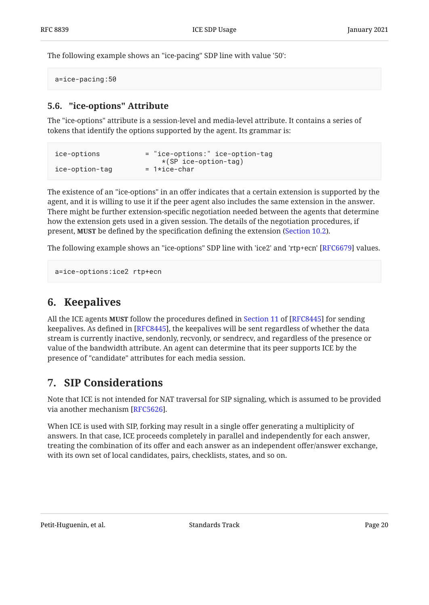The following example shows an "ice-pacing" SDP line with value '50':

<span id="page-19-0"></span>a=ice-pacing:50

## **[5.6. "ice-options" Attribute](#page-19-0)**

The "ice-options" attribute is a session-level and media-level attribute. It contains a series of tokens that identify the options supported by the agent. Its grammar is:

| ice-options    | = "ice-options:" ice-option-tag |
|----------------|---------------------------------|
|                | $*(SP ice-option-tag)$          |
| ice-option-tag | $= 1*ice-char$                  |

The existence of an "ice-options" in an offer indicates that a certain extension is supported by the agent, and it is willing to use it if the peer agent also includes the same extension in the answer. There might be further extension-specific negotiation needed between the agents that determine how the extension gets used in a given session. The details of the negotiation procedures, if present, **MUST** be defined by the specification defining the extension ([Section 10.2\)](#page-27-1).

The following example shows an "ice-options" SDP line with 'ice2' and 'rtp+ecn' [RFC6679] values.

```
a=ice-options:ice2 rtp+ecn
```
## **[6. Keepalives](#page-19-1)**

Allthe ICE agents **MUST** follow the procedures defined in Section 11 of [RFC8445] for sending keepalives. As defined in [[RFC8445\]](#page-30-1), the keepalives will be sent regardless of whether the data stream is currently inactive, sendonly, recvonly, or sendrecv, and regardless of the presence or value of the bandwidth attribute. An agent can determine that its peer supports ICE by the presence of "candidate" attributes for each media session.

## <span id="page-19-2"></span>**[7. SIP Considerations](#page-19-2)**

Note that ICE is not intended for NAT traversal for SIP signaling, which is assumed to be provided via another mechanism [\[RFC5626\]](#page-30-7).

When ICE is used with SIP, forking may result in a single offer generating a multiplicity of answers. In that case, ICE proceeds completely in parallel and independently for each answer, treating the combination of its offer and each answer as an independent offer/answer exchange, with its own set of local candidates, pairs, checklists, states, and so on.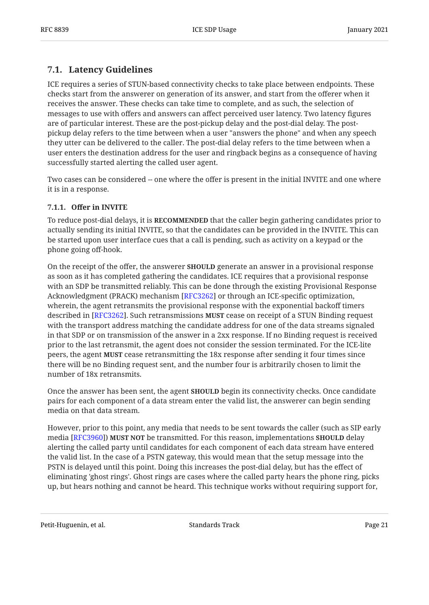## <span id="page-20-0"></span>**[7.1. Latency Guidelines](#page-20-0)**

ICE requires a series of STUN-based connectivity checks to take place between endpoints. These checks start from the answerer on generation of its answer, and start from the offerer when it receives the answer. These checks can take time to complete, and as such, the selection of messages to use with offers and answers can affect perceived user latency. Two latency figures are of particular interest. These are the post-pickup delay and the post-dial delay. The postpickup delay refers to the time between when a user "answers the phone" and when any speech they utter can be delivered to the caller. The post-dial delay refers to the time between when a user enters the destination address for the user and ringback begins as a consequence of having successfully started alerting the called user agent.

Two cases can be considered -- one where the offer is present in the initial INVITE and one where it is in a response.

### <span id="page-20-1"></span>**[7.1.1.](#page-20-1) Off[er in INVITE](#page-20-1)**

To reduce post-dial delays, it is **RECOMMENDED** that the caller begin gathering candidates prior to actually sending its initial INVITE, so that the candidates can be provided in the INVITE. This can be started upon user interface cues that a call is pending, such as activity on a keypad or the phone going off-hook.

On the receipt of the offer, the answerer **SHOULD** generate an answer in a provisional response as soon as it has completed gathering the candidates. ICE requires that a provisional response with an SDP be transmitted reliably. This can be done through the existing Provisional Response Acknowledgment (PRACK) mechanism [RFC3262] or through an ICE-specific optimization, wherein, the agent retransmits the provisional response with the exponential backoff timers described in [RFC3262]. Such retransmissions **MUST** cease on receipt of a STUN Binding request with the transport address matching the candidate address for one of the data streams signaled in that SDP or on transmission of the answer in a 2xx response. If no Binding request is received prior to the last retransmit, the agent does not consider the session terminated. For the ICE-lite peers, the agent **MUST** cease retransmitting the 18x response after sending it four times since there will be no Binding request sent, and the number four is arbitrarily chosen to limit the number of 18x retransmits.

Once the answer has been sent, the agent **SHOULD** begin its connectivity checks. Once candidate pairs for each component of a data stream enter the valid list, the answerer can begin sending media on that data stream.

However, prior to this point, any media that needs to be sent towards the caller (such as SIP early  $\bm{\Delta}$  [RFC3960]**] MUST NOT** be transmitted. For this reason, implementations <code>SHOULD</code> delay alerting the called party until candidates for each component of each data stream have entered the valid list. In the case of a PSTN gateway, this would mean that the setup message into the PSTN is delayed until this point. Doing this increases the post-dial delay, but has the effect of eliminating 'ghost rings'. Ghost rings are cases where the called party hears the phone ring, picks up, but hears nothing and cannot be heard. This technique works without requiring support for,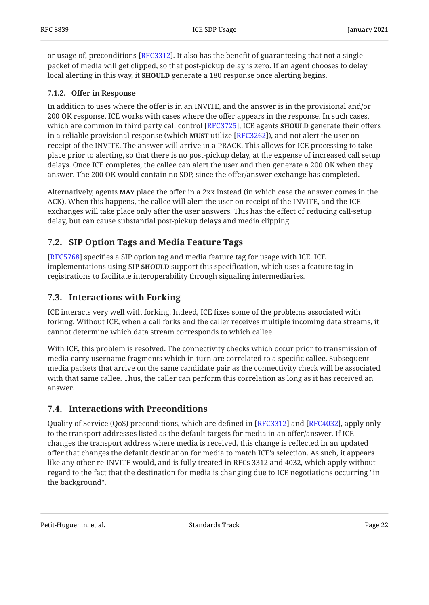or usage of, preconditions [[RFC3312\]](#page-29-10). It also has the benefit of guaranteeing that not a single packet of media will get clipped, so that post-pickup delay is zero. If an agent chooses to delay local alerting in this way, it **SHOULD** generate a 180 response once alerting begins.

## <span id="page-21-0"></span>**[7.1.2.](#page-21-0) Off[er in Response](#page-21-0)**

In addition to uses where the offer is in an INVITE, and the answer is in the provisional and/or 200 OK response, ICE works with cases where the offer appears in the response. In such cases, which are common in third party call control [RFC3725], ICE agents **SHOULD** generate their offers in a reliable provisional response (which **MUST** utilize [RFC3262]), and not alert the user on receipt of the INVITE. The answer will arrive in a PRACK. This allows for ICE processing to take place prior to alerting, so that there is no post-pickup delay, at the expense of increased call setup delays. Once ICE completes, the callee can alert the user and then generate a 200 OK when they answer. The 200 OK would contain no SDP, since the offer/answer exchange has completed.

Alternatively, agents **MAY** place the offer in a 2xx instead (in which case the answer comes in the ACK). When this happens, the callee will alert the user on receipt of the INVITE, and the ICE exchanges will take place only after the user answers. This has the effect of reducing call-setup delay, but can cause substantial post-pickup delays and media clipping.

## <span id="page-21-1"></span>**[7.2. SIP Option Tags and Media Feature Tags](#page-21-1)**

[[RFC5768\]](#page-30-9) specifies a SIP option tag and media feature tag for usage with ICE. ICE implementations using SIP **SHOULD** support this specification, which uses a feature tag in registrations to facilitate interoperability through signaling intermediaries.

## <span id="page-21-2"></span>**[7.3. Interactions with Forking](#page-21-2)**

ICE interacts very well with forking. Indeed, ICE fixes some of the problems associated with forking. Without ICE, when a call forks and the caller receives multiple incoming data streams, it cannot determine which data stream corresponds to which callee.

With ICE, this problem is resolved. The connectivity checks which occur prior to transmission of media carry username fragments which in turn are correlated to a specific callee. Subsequent media packets that arrive on the same candidate pair as the connectivity check will be associated with that same callee. Thus, the caller can perform this correlation as long as it has received an answer.

## <span id="page-21-3"></span>**[7.4. Interactions with Preconditions](#page-21-3)**

Quality of Service (QoS) preconditions, which are defined in [RFC3312] and [RFC4032], apply only to the transport addresses listed as the default targets for media in an offer/answer. If ICE changes the transport address where media is received, this change is reflected in an updated offer that changes the default destination for media to match ICE's selection. As such, it appears like any other re-INVITE would, and is fully treated in RFCs 3312 and 4032, which apply without regard to the fact that the destination for media is changing due to ICE negotiations occurring "in the background".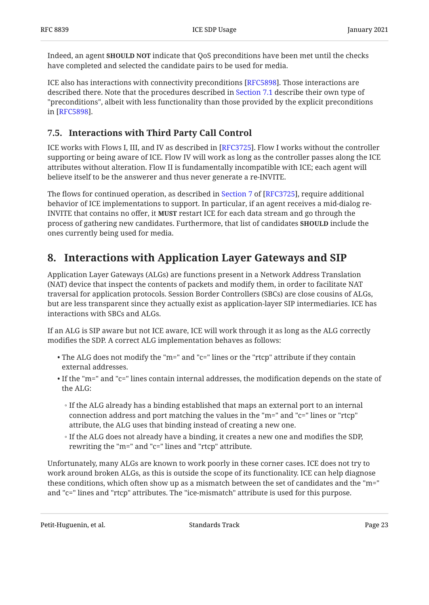Indeed, an agent **SHOULD NOT** indicate that QoS preconditions have been met until the checks have completed and selected the candidate pairs to be used for media.

ICE also has interactions with connectivity preconditions [RFC5898]. Those interactions are described there. Note that the procedures described in [Section 7.1](#page-20-0) describe their own type of "preconditions", albeit with less functionality than those provided by the explicit preconditions in [RFC5898].

## <span id="page-22-0"></span>**[7.5. Interactions with Third Party Call Control](#page-22-0)**

ICE works with Flows I, III, and IV as described in [RFC3725]. Flow I works without the controller supporting or being aware of ICE. Flow IV will work as long as the controller passes along the ICE attributes without alteration. Flow II is fundamentally incompatible with ICE; each agent will believe itself to be the answerer and thus never generate a re-INVITE.

Theflows for continued operation, as described in Section 7 of [RFC3725], require additional behavior of ICE implementations to support. In particular, if an agent receives a mid-dialog re-INVITE that contains no offer, it **MUST** restart ICE for each data stream and go through the process of gathering new candidates. Furthermore, that list of candidates **SHOULD** include the ones currently being used for media.

## <span id="page-22-1"></span>**[8. Interactions with Application Layer Gateways and SIP](#page-22-1)**

Application Layer Gateways (ALGs) are functions present in a Network Address Translation (NAT) device that inspect the contents of packets and modify them, in order to facilitate NAT traversal for application protocols. Session Border Controllers (SBCs) are close cousins of ALGs, but are less transparent since they actually exist as application-layer SIP intermediaries. ICE has interactions with SBCs and ALGs.

If an ALG is SIP aware but not ICE aware, ICE will work through it as long as the ALG correctly modifies the SDP. A correct ALG implementation behaves as follows:

- $\bullet$  The ALG does not modify the "m=" and "c=" lines or the "rtcp" attribute if they contain external addresses.
- $\bullet$  If the "m=" and "c=" lines contain internal addresses, the modification depends on the state of the ALG:
	- If the ALG already has a binding established that maps an external port to an internal connection address and port matching the values in the "m=" and "c=" lines or "rtcp" attribute, the ALG uses that binding instead of creating a new one.
	- If the ALG does not already have a binding, it creates a new one and modifies the SDP, rewriting the "m=" and "c=" lines and "rtcp" attribute.

Unfortunately, many ALGs are known to work poorly in these corner cases. ICE does not try to work around broken ALGs, as this is outside the scope of its functionality. ICE can help diagnose these conditions, which often show up as a mismatch between the set of candidates and the "m=" and "c=" lines and "rtcp" attributes. The "ice-mismatch" attribute is used for this purpose.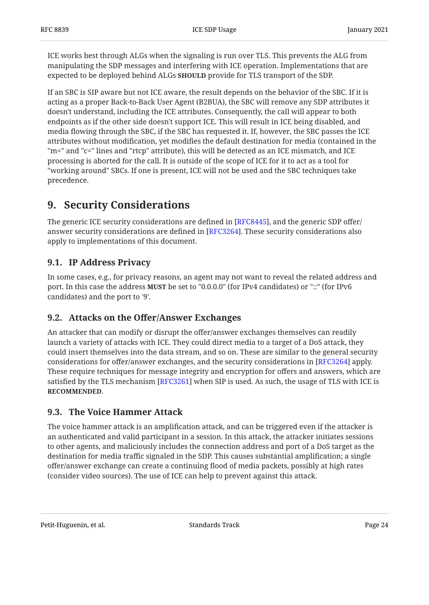ICE works best through ALGs when the signaling is run over TLS. This prevents the ALG from manipulating the SDP messages and interfering with ICE operation. Implementations that are expected to be deployed behind ALGs **SHOULD** provide for TLS transport of the SDP.

If an SBC is SIP aware but not ICE aware, the result depends on the behavior of the SBC. If it is acting as a proper Back-to-Back User Agent (B2BUA), the SBC will remove any SDP attributes it doesn't understand, including the ICE attributes. Consequently, the call will appear to both endpoints as if the other side doesn't support ICE. This will result in ICE being disabled, and media flowing through the SBC, if the SBC has requested it. If, however, the SBC passes the ICE attributes without modification, yet modifies the default destination for media (contained in the "m=" and "c=" lines and "rtcp" attribute), this will be detected as an ICE mismatch, and ICE processing is aborted for the call. It is outside of the scope of ICE for it to act as a tool for "working around" SBCs. If one is present, ICE will not be used and the SBC techniques take precedence.

## <span id="page-23-0"></span>**[9. Security Considerations](#page-23-0)**

The generic ICE security considerations are defined in [RFC8445], and the generic SDP offer/  $\,$ answer security considerations are defined in [RFC3264]. These security considerations also apply to implementations of this document.

## <span id="page-23-1"></span>**[9.1. IP Address Privacy](#page-23-1)**

In some cases, e.g., for privacy reasons, an agent may not want to reveal the related address and port. In this case the address **MUST** be set to "0.0.0.0" (for IPv4 candidates) or "::" (for IPv6 candidates) and the port to '9'.

## <span id="page-23-2"></span>**[9.2. A](#page-23-2)ttacks on the Off[er/Answer Exchanges](#page-23-2)**

An attacker that can modify or disrupt the offer/answer exchanges themselves can readily launch a variety of attacks with ICE. They could direct media to a target of a DoS attack, they could insert themselves into the data stream, and so on. These are similar to the general security considerations for offer/answer exchanges, and the security considerations in [RFC3264] apply. These require techniques for message integrity and encryption for offers and answers, which are satisfied by the TLS mechanism [[RFC3261\]](#page-29-12) when SIP is used. As such, the usage of TLS with ICE is . **RECOMMENDED**

## <span id="page-23-3"></span>**[9.3. The Voice Hammer Attack](#page-23-3)**

The voice hammer attack is an amplification attack, and can be triggered even if the attacker is an authenticated and valid participant in a session. In this attack, the attacker initiates sessions to other agents, and maliciously includes the connection address and port of a DoS target as the destination for media traffic signaled in the SDP. This causes substantial amplification; a single offer/answer exchange can create a continuing flood of media packets, possibly at high rates (consider video sources). The use of ICE can help to prevent against this attack.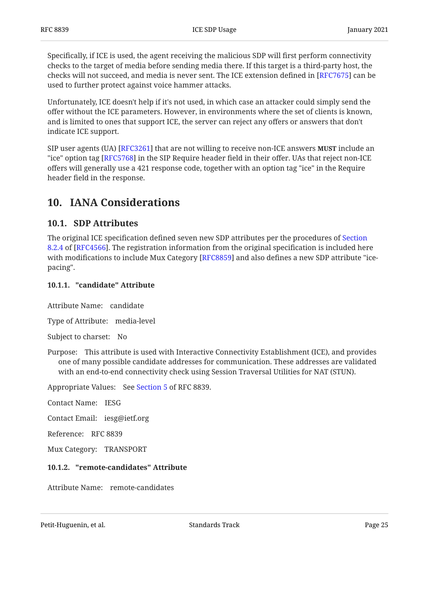Specifically, if ICE is used, the agent receiving the malicious SDP will first perform connectivity checks to the target of media before sending media there. If this target is a third-party host, the checks will not succeed, and media is never sent. The ICE extension defined in [RFC7675] can be used to further protect against voice hammer attacks.

Unfortunately, ICE doesn't help if it's not used, in which case an attacker could simply send the offer without the ICE parameters. However, in environments where the set of clients is known, and is limited to ones that support ICE, the server can reject any offers or answers that don't indicate ICE support.

<code>SIP</code> user agents (UA) [RFC3261] that are not willing to receive non-ICE answers <code>MUST</code> include an "ice" option tag [RFC5768] in the SIP Require header field in their offer. UAs that reject non-ICE offers will generally use a 421 response code, together with an option tag "ice" in the Require header field in the response.

## <span id="page-24-1"></span><span id="page-24-0"></span>**[10. IANA Considerations](#page-24-0)**

## **[10.1. SDP Attributes](#page-24-1)**

The original ICE specification defined seven new SDP attributes per the procedures of [Section](https://www.rfc-editor.org/rfc/rfc4566#section-8.2.4) [8.2.4](https://www.rfc-editor.org/rfc/rfc4566#section-8.2.4) of [[RFC4566\]](#page-29-5). The registration information from the original specification is included here with modifications to include Mux Category [RFC8859] and also defines a new SDP attribute "icepacing".

### <span id="page-24-2"></span>**[10.1.1. "candidate" Attribute](#page-24-2)**

Attribute Name: candidate

Type of Attribute: media-level

Subject to charset: No

Purpose: This attribute is used with Interactive Connectivity Establishment (ICE), and provides one of many possible candidate addresses for communication. These addresses are validated with an end-to-end connectivity check using Session Traversal Utilities for NAT (STUN).

Appropriate Values: See [Section 5](#page-14-0) of RFC 8839.

Contact Name: IESG

Contact Email: iesg@ietf.org

Reference: RFC 8839

<span id="page-24-3"></span>Mux Category: TRANSPORT

### **[10.1.2. "remote-candidates" Attribute](#page-24-3)**

Attribute Name: remote-candidates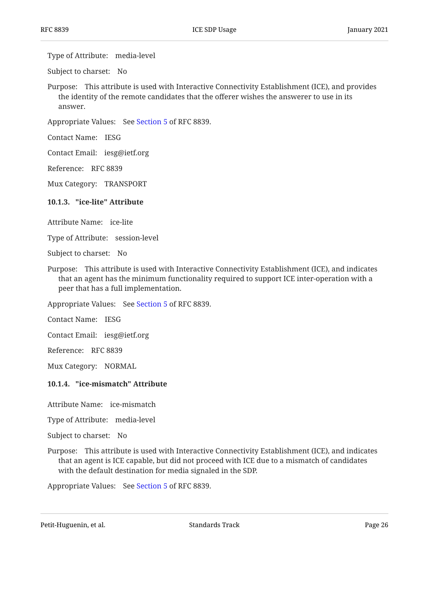Type of Attribute: media-level

Subject to charset: No

Purpose: This attribute is used with Interactive Connectivity Establishment (ICE), and provides the identity of the remote candidates that the offerer wishes the answerer to use in its answer.

Appropriate Values: See [Section 5](#page-14-0) of RFC 8839.

Contact Name: IESG

Contact Email: iesg@ietf.org

Reference: RFC 8839

<span id="page-25-0"></span>Mux Category: TRANSPORT

**[10.1.3. "ice-lite" Attribute](#page-25-0)** 

Attribute Name: ice-lite

Type of Attribute: session-level

Subject to charset: No

Purpose: This attribute is used with Interactive Connectivity Establishment (ICE), and indicates that an agent has the minimum functionality required to support ICE inter-operation with a peer that has a full implementation.

Appropriate Values: See [Section 5](#page-14-0) of RFC 8839.

Contact Name: IESG

Contact Email: iesg@ietf.org

Reference: RFC 8839

<span id="page-25-1"></span>Mux Category: NORMAL

#### **[10.1.4. "ice-mismatch" Attribute](#page-25-1)**

Attribute Name: ice-mismatch

Type of Attribute: media-level

Subject to charset: No

Purpose: This attribute is used with Interactive Connectivity Establishment (ICE), and indicates that an agent is ICE capable, but did not proceed with ICE due to a mismatch of candidates with the default destination for media signaled in the SDP.

Appropriate Values: See [Section 5](#page-14-0) of RFC 8839.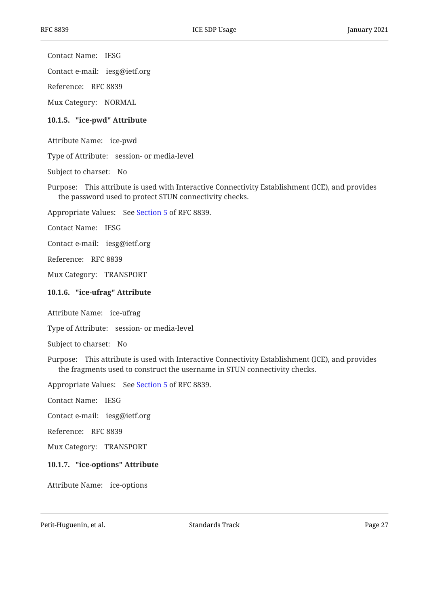Contact Name: IESG

Contact e-mail: iesg@ietf.org

Reference: RFC 8839

<span id="page-26-0"></span>Mux Category: NORMAL

#### **[10.1.5. "ice-pwd" Attribute](#page-26-0)**

Attribute Name: ice-pwd

Type of Attribute: session- or media-level

Subject to charset: No

Purpose: This attribute is used with Interactive Connectivity Establishment (ICE), and provides the password used to protect STUN connectivity checks.

Appropriate Values: See [Section 5](#page-14-0) of RFC 8839.

Contact Name: IESG

Contact e-mail: iesg@ietf.org

Reference: RFC 8839

<span id="page-26-1"></span>Mux Category: TRANSPORT

#### **[10.1.6. "ice-ufrag" Attribute](#page-26-1)**

Attribute Name: ice-ufrag

Type of Attribute: session- or media-level

Subject to charset: No

Purpose: This attribute is used with Interactive Connectivity Establishment (ICE), and provides the fragments used to construct the username in STUN connectivity checks.

Appropriate Values: See [Section 5](#page-14-0) of RFC 8839.

Contact Name: IESG

Contact e-mail: iesg@ietf.org

Reference: RFC 8839

<span id="page-26-2"></span>Mux Category: TRANSPORT

#### **[10.1.7. "ice-options" Attribute](#page-26-2)**

Attribute Name: ice-options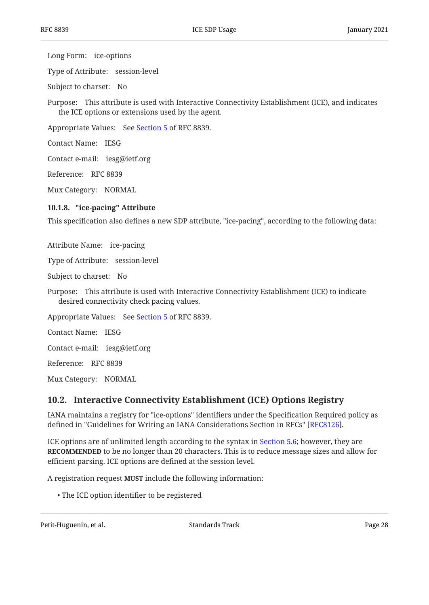Long Form: ice-options

Type of Attribute: session-level

Subject to charset: No

Purpose: This attribute is used with Interactive Connectivity Establishment (ICE), and indicates the ICE options or extensions used by the agent.

Appropriate Values: See [Section 5](#page-14-0) of RFC 8839.

Contact Name: IESG

Contact e-mail: iesg@ietf.org

Reference: RFC 8839

<span id="page-27-0"></span>Mux Category: NORMAL

#### **[10.1.8. "ice-pacing" Attribute](#page-27-0)**

This specification also defines a new SDP attribute, "ice-pacing", according to the following data:

Attribute Name: ice-pacing

Type of Attribute: session-level

Subject to charset: No

Purpose: This attribute is used with Interactive Connectivity Establishment (ICE) to indicate desired connectivity check pacing values.

Appropriate Values: See [Section 5](#page-14-0) of RFC 8839.

Contact Name: IESG

Contact e-mail: iesg@ietf.org

Reference: RFC 8839

<span id="page-27-1"></span>Mux Category: NORMAL

### **[10.2. Interactive Connectivity Establishment \(ICE\) Options Registry](#page-27-1)**

IANA maintains a registry for "ice-options" identifiers under the Specification Required policy as defined in "Guidelines for Writing an IANA Considerations Section in RFCs" [[RFC8126\]](#page-31-2).

ICE options are of unlimited length according to the syntax in [Section 5.6;](#page-19-0) however, they are **RECOMMENDED** to be no longer than 20 characters. This is to reduce message sizes and allow for efficient parsing. ICE options are defined at the session level.

A registration request MUST include the following information:

The ICE option identifier to be registered •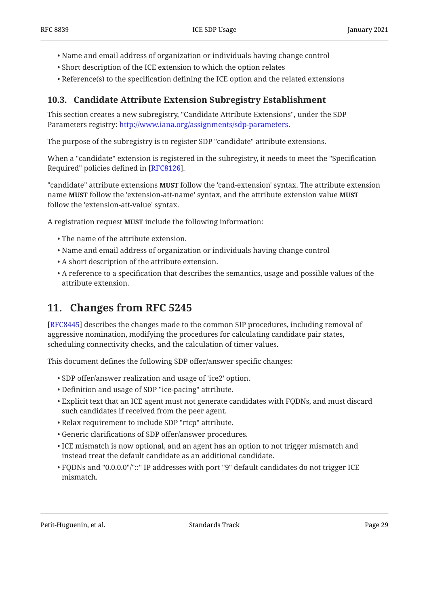- Name and email address of organization or individuals having change control •
- Short description of the ICE extension to which the option relates •
- <span id="page-28-0"></span> $\bullet$  Reference(s) to the specification defining the ICE option and the related extensions

## **[10.3. Candidate Attribute Extension Subregistry Establishment](#page-28-0)**

This section creates a new subregistry, "Candidate Attribute Extensions", under the SDP Parameters registry: http://www.iana.org/assignments/sdp-parameters.

The purpose of the subregistry is to register SDP "candidate" attribute extensions.

When a "candidate" extension is registered in the subregistry, it needs to meet the "Specification Required" policies defined in [RFC8126].

"candidate" attribute extensions **MUST** follow the 'cand-extension' syntax. The attribute extension name follow the 'extension-att-name' syntax, and the attribute extension value **MUST MUST** follow the 'extension-att-value' syntax.

A registration request MUST include the following information:

- The name of the attribute extension. •
- Name and email address of organization or individuals having change control •
- A short description of the attribute extension. •
- $\bullet$  A reference to a specification that describes the semantics, usage and possible values of the attribute extension.

## <span id="page-28-1"></span>**[11. Changes from RFC 5245](#page-28-1)**

[[RFC8445\]](#page-30-1) describes the changes made to the common SIP procedures, including removal of aggressive nomination, modifying the procedures for calculating candidate pair states, scheduling connectivity checks, and the calculation of timer values.

This document defines the following SDP offer/answer specific changes:

- SDP offer/answer realization and usage of 'ice2' option. •
- Definition and usage of SDP "ice-pacing" attribute. •
- $\bullet$  Explicit text that an ICE agent must not generate candidates with FQDNs, and must discard such candidates if received from the peer agent.
- Relax requirement to include SDP "rtcp" attribute. •
- Generic clarifications of SDP offer/answer procedures. •
- $\bullet$  ICE mismatch is now optional, and an agent has an option to not trigger mismatch and instead treat the default candidate as an additional candidate.
- FQDNs and "0.0.0.0"/"::" IP addresses with port "9" default candidates do not trigger ICE mismatch.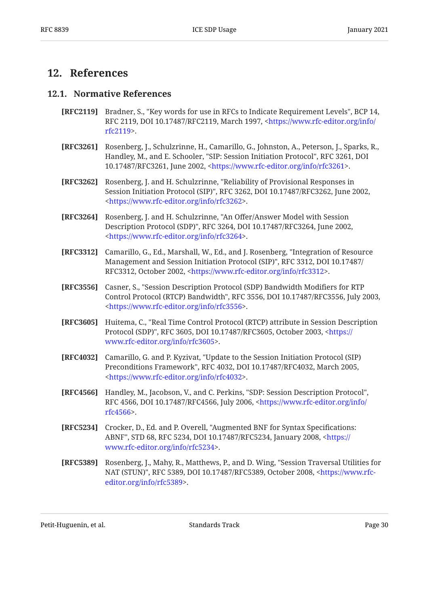## <span id="page-29-1"></span><span id="page-29-0"></span>**[12. References](#page-29-0)**

### **[12.1. Normative References](#page-29-1)**

- <span id="page-29-3"></span>**[RFC2119]** Bradner, S., "Key words for use in RFCs to Indicate Requirement Levels", BCP 14, RFC 2119, DOI 10.17487/RFC2119, March 1997, <[https://www.rfc-editor.org/info/](https://www.rfc-editor.org/info/rfc2119) . [rfc2119>](https://www.rfc-editor.org/info/rfc2119)
- <span id="page-29-12"></span>**[RFC3261]** Rosenberg, J., Schulzrinne, H., Camarillo, G., Johnston, A., Peterson, J., Sparks, R., Handley, M., and E. Schooler, "SIP: Session Initiation Protocol", RFC 3261, DOI 10.17487/RFC3261, June 2002, <https://www.rfc-editor.org/info/rfc3261>.
- <span id="page-29-9"></span>**[RFC3262]** Rosenberg, J. and H. Schulzrinne, "Reliability of Provisional Responses in Session Initiation Protocol (SIP)", RFC 3262, DOI 10.17487/RFC3262, June 2002, . [<https://www.rfc-editor.org/info/rfc3262](https://www.rfc-editor.org/info/rfc3262)>
- <span id="page-29-2"></span>**[RFC3264]** Rosenberg, J. and H. Schulzrinne, "An Offer/Answer Model with Session Description Protocol (SDP)", RFC 3264, DOI 10.17487/RFC3264, June 2002, . [<https://www.rfc-editor.org/info/rfc3264](https://www.rfc-editor.org/info/rfc3264)>
- <span id="page-29-10"></span>**[RFC3312]** Camarillo, G., Ed., Marshall, W., Ed., and J. Rosenberg, "Integration of Resource Management and Session Initiation Protocol (SIP)", RFC 3312, DOI 10.17487/ RFC3312, October 2002, [<https://www.rfc-editor.org/info/rfc3312](https://www.rfc-editor.org/info/rfc3312)>.
- <span id="page-29-6"></span>**[RFC3556]** , Casner, S. "Session Description Protocol (SDP) Bandwidth Modifiers for RTP Control Protocol (RTCP) Bandwidth", RFC 3556, DOI 10.17487/RFC3556, July 2003, . [<https://www.rfc-editor.org/info/rfc3556](https://www.rfc-editor.org/info/rfc3556)>
- <span id="page-29-4"></span>**[RFC3605]** Huitema, C., "Real Time Control Protocol (RTCP) attribute in Session Description Protocol (SDP)", RFC 3605, DOI 10.17487/RFC3605, October 2003, <[https://](https://www.rfc-editor.org/info/rfc3605) . [www.rfc-editor.org/info/rfc3605>](https://www.rfc-editor.org/info/rfc3605)
- <span id="page-29-11"></span>**[RFC4032]** Camarillo, G. and P. Kyzivat, "Update to the Session Initiation Protocol (SIP) Preconditions Framework", RFC 4032, DOI 10.17487/RFC4032, March 2005, . [<https://www.rfc-editor.org/info/rfc4032](https://www.rfc-editor.org/info/rfc4032)>
- <span id="page-29-5"></span>**[RFC4566]** Handley, M., Jacobson, V., and C. Perkins, "SDP: Session Description Protocol", RFC 4566, DOI 10.17487/RFC4566, July 2006, [<https://www.rfc-editor.org/info/](https://www.rfc-editor.org/info/rfc4566) . [rfc4566>](https://www.rfc-editor.org/info/rfc4566)
- <span id="page-29-8"></span>**[RFC5234]** Crocker, D., Ed. and P. Overell, "Augmented BNF for Syntax Specifications: ABNF", STD 68, RFC 5234, DOI 10.17487/RFC5234, January 2008, <[https://](https://www.rfc-editor.org/info/rfc5234) . [www.rfc-editor.org/info/rfc5234>](https://www.rfc-editor.org/info/rfc5234)
- <span id="page-29-7"></span>**[RFC5389]** Rosenberg, J., Mahy, R., Matthews, P., and D. Wing, "Session Traversal Utilities for NAT (STUN)", RFC 5389, DOI 10.17487/RFC5389, October 2008, <[https://www.rfc-](https://www.rfc-editor.org/info/rfc5389). [editor.org/info/rfc5389>](https://www.rfc-editor.org/info/rfc5389)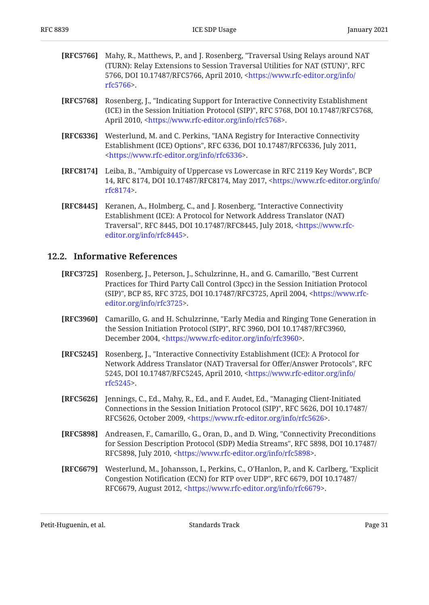- <span id="page-30-5"></span>**[RFC5766]** Mahy, R., Matthews, P., and J. Rosenberg, "Traversal Using Relays around NAT , (TURN): Relay Extensions to Session Traversal Utilities for NAT (STUN)" RFC 5766, DOI 10.17487/RFC5766, April 2010, <[https://www.rfc-editor.org/info/](https://www.rfc-editor.org/info/rfc5766) . [rfc5766>](https://www.rfc-editor.org/info/rfc5766)
- <span id="page-30-9"></span>**[RFC5768]** Rosenberg, J., "Indicating Support for Interactive Connectivity Establishment (ICE) in the Session Initiation Protocol (SIP)", RFC 5768, DOI 10.17487/RFC5768, April 2010, <https://www.rfc-editor.org/info/rfc5768>.
- <span id="page-30-11"></span>**[RFC6336]** Westerlund, M. and C. Perkins, "IANA Registry for Interactive Connectivity Establishment (ICE) Options", RFC 6336, DOI 10.17487/RFC6336, July 2011, . [<https://www.rfc-editor.org/info/rfc6336](https://www.rfc-editor.org/info/rfc6336)>
- <span id="page-30-3"></span>**[RFC8174]** Leiba, B., "Ambiguity of Uppercase vs Lowercase in RFC 2119 Key Words", BCP 14, RFC 8174, DOI 10.17487/RFC8174, May 2017, [<https://www.rfc-editor.org/info/](https://www.rfc-editor.org/info/rfc8174) . [rfc8174>](https://www.rfc-editor.org/info/rfc8174)
- <span id="page-30-1"></span>**[RFC8445]** Keranen, A., Holmberg, C., and J. Rosenberg, "Interactive Connectivity Traversal", RFC 8445, DOI 10.17487/RFC8445, July 2018, <[https://www.rfc-](https://www.rfc-editor.org/info/rfc8445). [editor.org/info/rfc8445>](https://www.rfc-editor.org/info/rfc8445) Establishment (ICE): A Protocol for Network Address Translator (NAT)

#### <span id="page-30-0"></span>**[12.2. Informative References](#page-30-0)**

- <span id="page-30-4"></span>**[RFC3725]** Rosenberg, J., Peterson, J., Schulzrinne, H., and G. Camarillo, "Best Current (SIP)", BCP 85, RFC 3725, DOI 10.17487/RFC3725, April 2004, <[https://www.rfc-](https://www.rfc-editor.org/info/rfc3725). [editor.org/info/rfc3725>](https://www.rfc-editor.org/info/rfc3725) Practices for Third Party Call Control (3pcc) in the Session Initiation Protocol
- <span id="page-30-8"></span>**[RFC3960]** Camarillo, G. and H. Schulzrinne, "Early Media and Ringing Tone Generation in the Session Initiation Protocol (SIP)", RFC 3960, DOI 10.17487/RFC3960, December 2004, <https://www.rfc-editor.org/info/rfc3960>.
- <span id="page-30-2"></span>**[RFC5245]** Rosenberg, J., "Interactive Connectivity Establishment (ICE): A Protocol for Network Address Translator (NAT) Traversal for Offer/Answer Protocols", RFC 5245, DOI 10.17487/RFC5245, April 2010, <[https://www.rfc-editor.org/info/](https://www.rfc-editor.org/info/rfc5245) . [rfc5245>](https://www.rfc-editor.org/info/rfc5245)
- <span id="page-30-7"></span>**[RFC5626]** , Jennings, C., Ed., Mahy, R., Ed., and F. Audet, Ed. "Managing Client-Initiated Connections in the Session Initiation Protocol (SIP)", RFC 5626, DOI 10.17487/ RFC5626, October 2009, [<https://www.rfc-editor.org/info/rfc5626](https://www.rfc-editor.org/info/rfc5626)>.
- <span id="page-30-10"></span>**[RFC5898]** Andreasen, F., Camarillo, G., Oran, D., and D. Wing, "Connectivity Preconditions for Session Description Protocol (SDP) Media Streams", RFC 5898, DOI 10.17487/ RFC5898, July 2010, [<https://www.rfc-editor.org/info/rfc5898](https://www.rfc-editor.org/info/rfc5898)>.
- <span id="page-30-6"></span>**[RFC6679]** Westerlund, M., Johansson, I., Perkins, C., O'Hanlon, P., and K. Carlberg, "Explicit Congestion Notification (ECN) for RTP over UDP", RFC 6679, DOI 10.17487/ RFC6679, August 2012, <https://www.rfc-editor.org/info/rfc6679>.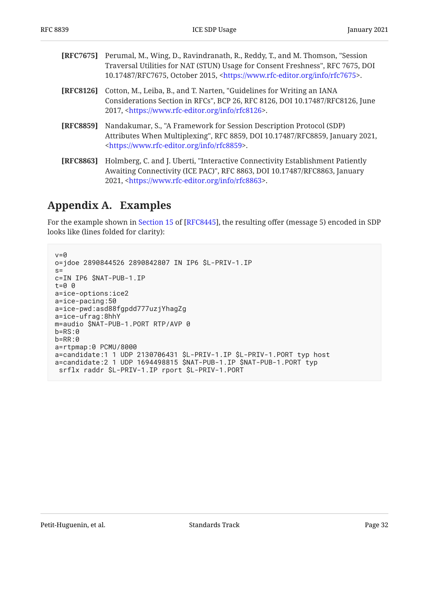<span id="page-31-4"></span><span id="page-31-3"></span><span id="page-31-2"></span>

| [RFC7675]        | Perumal, M., Wing, D., Ravindranath, R., Reddy, T., and M. Thomson, "Session<br>Traversal Utilities for NAT (STUN) Usage for Consent Freshness", RFC 7675, DOI<br>10.17487/RFC7675, October 2015, <https: info="" rfc7675="" www.rfc-editor.org="">.</https:> |
|------------------|---------------------------------------------------------------------------------------------------------------------------------------------------------------------------------------------------------------------------------------------------------------|
| [RFC8126]        | Cotton, M., Leiba, B., and T. Narten, "Guidelines for Writing an IANA<br>Considerations Section in RFCs", BCP 26, RFC 8126, DOI 10.17487/RFC8126, June<br>2017, <https: info="" rfc8126="" www.rfc-editor.org="">.</https:>                                   |
| <b>[RFC8859]</b> | Nandakumar, S., "A Framework for Session Description Protocol (SDP)<br>Attributes When Multiplexing", RFC 8859, DOI 10.17487/RFC8859, January 2021,<br><https: info="" rfc8859="" www.rfc-editor.org="">.</https:>                                            |
| <b>[RFC8863]</b> | Holmberg, C. and J. Uberti, "Interactive Connectivity Establishment Patiently<br>Awaiting Connectivity (ICE PAC)", RFC 8863, DOI 10.17487/RFC8863, January<br>2021, <https: info="" rfc8863="" www.rfc-editor.org="">.</https:>                               |

## <span id="page-31-1"></span><span id="page-31-0"></span>**[Appendix A. Examples](#page-31-0)**

Forthe example shown in Section 15 of [RFC8445], the resulting offer (message 5) encoded in SDP looks like (lines folded for clarity):

```
v=0o=jdoe 2890844526 2890842807 IN IP6 $L-PRIV-1.IP
s=c=IN IP6 $NAT-PUB-1.IP
t=0 0
a=ice-options:ice2
a=ice-pacing:50
a=ice-pwd:asd88fgpdd777uzjYhagZg
a=ice-ufrag:8hhY
m=audio $NAT-PUB-1.PORT RTP/AVP 0
b=RS:0
b=RR:0
a=rtpmap:0 PCMU/8000
a=candidate:1 1 UDP 2130706431 $L-PRIV-1.IP $L-PRIV-1.PORT typ host
a=candidate:2 1 UDP 1694498815 $NAT-PUB-1.IP $NAT-PUB-1.PORT typ
  srflx raddr $L-PRIV-1.IP rport $L-PRIV-1.PORT
```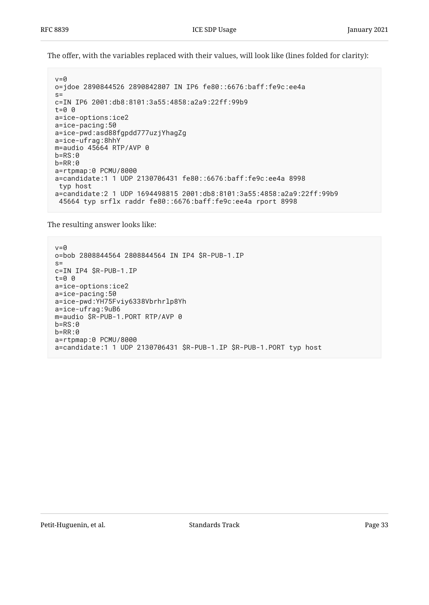The offer, with the variables replaced with their values, will look like (lines folded for clarity):

```
v=0o=jdoe 2890844526 2890842807 IN IP6 fe80::6676:baff:fe9c:ee4a
s=c=IN IP6 2001:db8:8101:3a55:4858:a2a9:22ff:99b9
t=0 0
a=ice-options:ice2
a=ice-pacing:50
a=ice-pwd:asd88fgpdd777uzjYhagZg
a=ice-ufrag:8hhY
m=audio 45664 RTP/AVP 0
b=RS:0b=RR:0
a=rtpmap:0 PCMU/8000
a=candidate:1 1 UDP 2130706431 fe80::6676:baff:fe9c:ee4a 8998
 typ host
a=candidate:2 1 UDP 1694498815 2001:db8:8101:3a55:4858:a2a9:22ff:99b9
 45664 typ srflx raddr fe80::6676:baff:fe9c:ee4a rport 8998
```
The resulting answer looks like:

```
v = \thetao=bob 2808844564 2808844564 IN IP4 $R-PUB-1.IP
s=c=IN IP4 $R-PUB-1.IP
t=0 0
a=ice-options:ice2
a=ice-pacing:50
a=ice-pwd:YH75Fviy6338Vbrhrlp8Yh
a=ice-ufrag:9uB6
m=audio $R-PUB-1.PORT RTP/AVP 0
b=RS:0
b=RR:0
a=rtpmap:0 PCMU/8000
a=candidate:1 1 UDP 2130706431 $R-PUB-1.IP $R-PUB-1.PORT typ host
```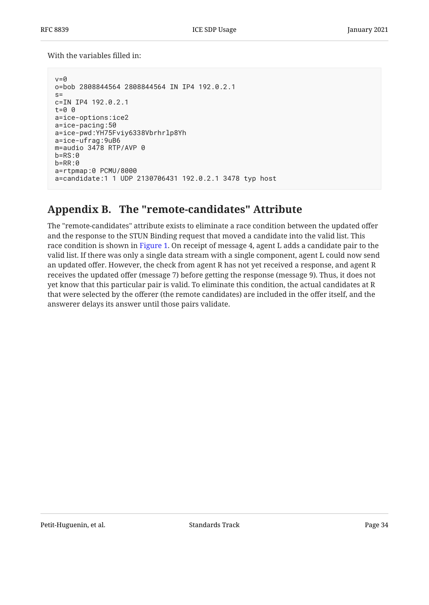With the variables filled in:

```
v=0o=bob 2808844564 2808844564 IN IP4 192.0.2.1
s=c=IN IP4 192.0.2.1
t=0 0
a=ice-options:ice2
a=ice-pacing:50
a=ice-pwd:YH75Fviy6338Vbrhrlp8Yh
a=ice-ufrag:9uB6
m=audio 3478 RTP/AVP 0
b=RS:0b=RR:0
a=rtpmap:0 PCMU/8000
a=candidate:1 1 UDP 2130706431 192.0.2.1 3478 typ host
```
## <span id="page-33-0"></span>**[Appendix B. The "remote-candidates" Attribute](#page-33-0)**

The "remote-candidates" attribute exists to eliminate a race condition between the updated offer and the response to the STUN Binding request that moved a candidate into the valid list. This race condition is shown in [Figure 1.](#page-34-1) On receipt of message 4, agent L adds a candidate pair to the valid list. If there was only a single data stream with a single component, agent L could now send an updated offer. However, the check from agent R has not yet received a response, and agent R receives the updated offer (message 7) before getting the response (message 9). Thus, it does not yet know that this particular pair is valid. To eliminate this condition, the actual candidates at R that were selected by the offerer (the remote candidates) are included in the offer itself, and the answerer delays its answer until those pairs validate.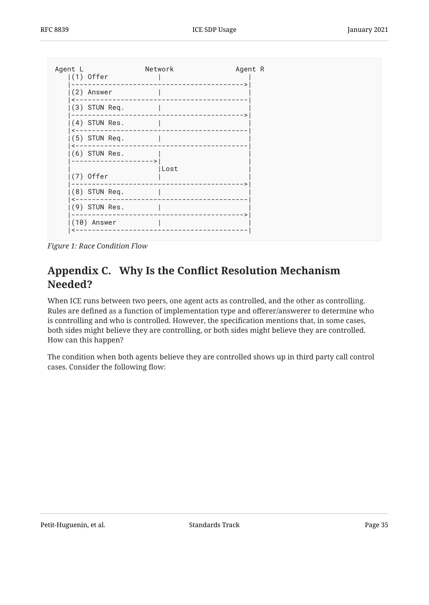<span id="page-34-1"></span>

<span id="page-34-0"></span>*[Figure 1: Race Condition Flow](#page-34-1)* 

## **[Appendix C. W](#page-34-0)hy Is the Confl[ict Resolution Mechanism](#page-34-0) [Needed?](#page-34-0)**

When ICE runs between two peers, one agent acts as controlled, and the other as controlling. Rules are defined as a function of implementation type and offerer/answerer to determine who is controlling and who is controlled. However, the specification mentions that, in some cases, both sides might believe they are controlling, or both sides might believe they are controlled. How can this happen?

The condition when both agents believe they are controlled shows up in third party call control cases. Consider the following flow: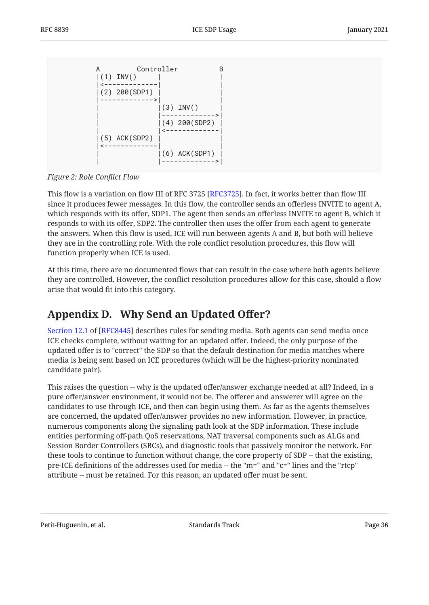<span id="page-35-1"></span>Controller B  $|(1)$  INV()  $2 - - - - - (2)$  200 $(SDP1)$  |------------->| |  $(3)$  INV() | |------------->|  $(4)$  200(SDP2) | |<-------------|  $(5)$  ACK(SDP2) |<-------------| | | |(6) ACK(SDP1) | | |------------->|

*[Figure 2: Role Con](#page-35-1)flict Flow*

This flow is a variation on flow III of RFC 3725 [RFC3725]. In fact, it works better than flow III since it produces fewer messages. In this flow, the controller sends an offerless INVITE to agent A, which responds with its offer, SDP1. The agent then sends an offerless INVITE to agent B, which it responds to with its offer, SDP2. The controller then uses the offer from each agent to generate the answers. When this flow is used, ICE will run between agents A and B, but both will believe they are in the controlling role. With the role conflict resolution procedures, this flow will function properly when ICE is used.

At this time, there are no documented flows that can result in the case where both agents believe they are controlled. However, the conflict resolution procedures allow for this case, should a flow arise that would fit into this category.

## <span id="page-35-0"></span>**[Appendix D. Why Send an Updated O](#page-35-0)ffer?**

[Section 12.1](https://www.rfc-editor.org/rfc/rfc8445#section-12.1) of [[RFC8445\]](#page-30-1) describes rules for sending media. Both agents can send media once ICE checks complete, without waiting for an updated offer. Indeed, the only purpose of the updated offer is to "correct" the SDP so that the default destination for media matches where media is being sent based on ICE procedures (which will be the highest-priority nominated candidate pair).

This raises the question -- why is the updated offer/answer exchange needed at all? Indeed, in a pure offer/answer environment, it would not be. The offerer and answerer will agree on the candidates to use through ICE, and then can begin using them. As far as the agents themselves are concerned, the updated offer/answer provides no new information. However, in practice, numerous components along the signaling path look at the SDP information. These include entities performing off-path QoS reservations, NAT traversal components such as ALGs and Session Border Controllers (SBCs), and diagnostic tools that passively monitor the network. For these tools to continue to function without change, the core property of SDP -- that the existing, pre-ICE definitions of the addresses used for media -- the "m=" and "c=" lines and the "rtcp" attribute -- must be retained. For this reason, an updated offer must be sent.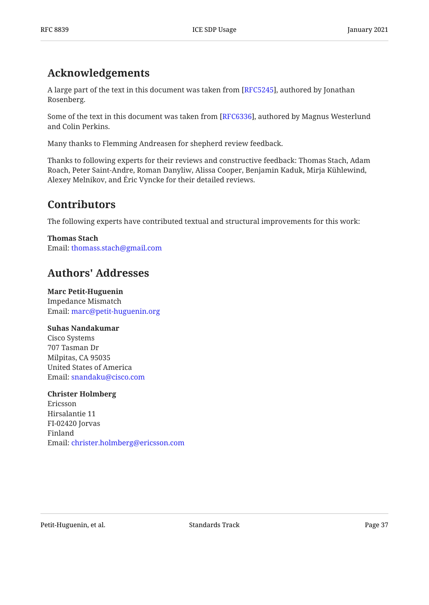## <span id="page-36-0"></span>**[Acknowledgements](#page-36-0)**

A large part of the text in this document was taken from [RFC5245], authored by Jonathan . Rosenberg

Some of the text in this document was taken from [RFC6336], authored by Magnus Westerlund and Colin Perkins.

Many thanks to Flemming Andreasen for shepherd review feedback.

Thanks to following experts for their reviews and constructive feedback: Thomas Stach, Adam Roach, Peter Saint-Andre, Roman Danyliw, Alissa Cooper, Benjamin Kaduk, Mirja Kühlewind, Alexey Melnikov, and Eric Vyncke for their detailed reviews.

## <span id="page-36-1"></span>**[Contributors](#page-36-1)**

The following experts have contributed textual and structural improvements for this work:

**Thomas Stach** Email: [thomass.stach@gmail.com](mailto:thomass.stach@gmail.com)

## <span id="page-36-2"></span>**[Authors' Addresses](#page-36-2)**

**Marc Petit-Huguenin** Impedance Mismatch Email: [marc@petit-huguenin.org](mailto:marc@petit-huguenin.org)

### **Suhas Nandakumar**

Cisco Systems 707 Tasman Dr Milpitas, CA 95035 United States of America Email: [snandaku@cisco.com](mailto:snandaku@cisco.com)

### **Christer Holmberg**

Ericsson Hirsalantie 11 FI-02420 Jorvas Finland Email: [christer.holmberg@ericsson.com](mailto:christer.holmberg@ericsson.com)